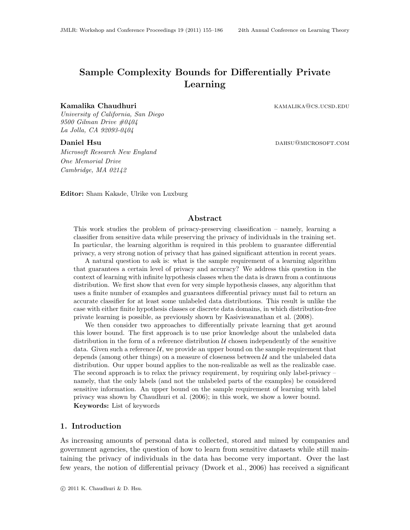# <span id="page-0-0"></span>Sample Complexity Bounds for Differentially Private Learning

#### Kamalika Chaudhuri kamalika Chaudhuri kamalika kamalika kamalika kamalika kamalika kamalika kamalika kama kama

University of California, San Diego 9500 Gilman Drive  $\#0404$ La Jolla, CA 92093-0404

Microsoft Research New England One Memorial Drive Cambridge, MA 02142

Daniel Hsu dahsu daha keessaati daha ka barata sebagai daha keessa daha daha beel aan daha beel aan daha keessa

Editor: Sham Kakade, Ulrike von Luxburg

# Abstract

This work studies the problem of privacy-preserving classification – namely, learning a classifier from sensitive data while preserving the privacy of individuals in the training set. In particular, the learning algorithm is required in this problem to guarantee differential privacy, a very strong notion of privacy that has gained significant attention in recent years.

A natural question to ask is: what is the sample requirement of a learning algorithm that guarantees a certain level of privacy and accuracy? We address this question in the context of learning with infinite hypothesis classes when the data is drawn from a continuous distribution. We first show that even for very simple hypothesis classes, any algorithm that uses a finite number of examples and guarantees differential privacy must fail to return an accurate classifier for at least some unlabeled data distributions. This result is unlike the case with either finite hypothesis classes or discrete data domains, in which distribution-free private learning is possible, as previously shown by [Kasiviswanathan et al.](#page-18-0) [\(2008\)](#page-18-0).

We then consider two approaches to differentially private learning that get around this lower bound. The first approach is to use prior knowledge about the unlabeled data distribution in the form of a reference distribution  $U$  chosen independently of the sensitive data. Given such a reference  $\mathcal{U}$ , we provide an upper bound on the sample requirement that depends (among other things) on a measure of closeness between  $\mathcal U$  and the unlabeled data distribution. Our upper bound applies to the non-realizable as well as the realizable case. The second approach is to relax the privacy requirement, by requiring only label-privacy – namely, that the only labels (and not the unlabeled parts of the examples) be considered sensitive information. An upper bound on the sample requirement of learning with label privacy was shown by [Chaudhuri et al.](#page-17-0) [\(2006\)](#page-17-0); in this work, we show a lower bound. Keywords: List of keywords

# 1. Introduction

As increasing amounts of personal data is collected, stored and mined by companies and government agencies, the question of how to learn from sensitive datasets while still maintaining the privacy of individuals in the data has become very important. Over the last few years, the notion of differential privacy [\(Dwork et al., 2006\)](#page-17-1) has received a significant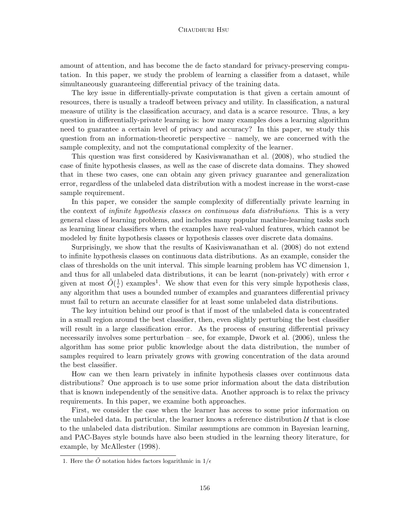#### Chaudhuri Hsu

amount of attention, and has become the de facto standard for privacy-preserving computation. In this paper, we study the problem of learning a classifier from a dataset, while simultaneously guaranteeing differential privacy of the training data.

The key issue in differentially-private computation is that given a certain amount of resources, there is usually a tradeoff between privacy and utility. In classification, a natural measure of utility is the classification accuracy, and data is a scarce resource. Thus, a key question in differentially-private learning is: how many examples does a learning algorithm need to guarantee a certain level of privacy and accuracy? In this paper, we study this question from an information-theoretic perspective – namely, we are concerned with the sample complexity, and not the computational complexity of the learner.

This question was first considered by [Kasiviswanathan et al.](#page-18-0) [\(2008\)](#page-18-0), who studied the case of finite hypothesis classes, as well as the case of discrete data domains. They showed that in these two cases, one can obtain any given privacy guarantee and generalization error, regardless of the unlabeled data distribution with a modest increase in the worst-case sample requirement.

In this paper, we consider the sample complexity of differentially private learning in the context of infinite hypothesis classes on continuous data distributions. This is a very general class of learning problems, and includes many popular machine-learning tasks such as learning linear classifiers when the examples have real-valued features, which cannot be modeled by finite hypothesis classes or hypothesis classes over discrete data domains.

Surprisingly, we show that the results of [Kasiviswanathan et al.](#page-18-0) [\(2008\)](#page-18-0) do not extend to infinite hypothesis classes on continuous data distributions. As an example, consider the class of thresholds on the unit interval. This simple learning problem has VC dimension 1, and thus for all unlabeled data distributions, it can be learnt (non-privately) with error  $\epsilon$ given at most  $\tilde{O}(\frac{1}{\epsilon})$  $\frac{1}{\epsilon}$  $\frac{1}{\epsilon}$  $\frac{1}{\epsilon}$ ) examples<sup>1</sup>. We show that even for this very simple hypothesis class, any algorithm that uses a bounded number of examples and guarantees differential privacy must fail to return an accurate classifier for at least some unlabeled data distributions.

The key intuition behind our proof is that if most of the unlabeled data is concentrated in a small region around the best classifier, then, even slightly perturbing the best classifier will result in a large classification error. As the process of ensuring differential privacy necessarily involves some perturbation – see, for example, [Dwork et al.](#page-17-1) [\(2006\)](#page-17-1), unless the algorithm has some prior public knowledge about the data distribution, the number of samples required to learn privately grows with growing concentration of the data around the best classifier.

How can we then learn privately in infinite hypothesis classes over continuous data distributions? One approach is to use some prior information about the data distribution that is known independently of the sensitive data. Another approach is to relax the privacy requirements. In this paper, we examine both approaches.

First, we consider the case when the learner has access to some prior information on the unlabeled data. In particular, the learner knows a reference distribution  $\mathcal{U}$  that is close to the unlabeled data distribution. Similar assumptions are common in Bayesian learning, and PAC-Bayes style bounds have also been studied in the learning theory literature, for example, by [McAllester](#page-18-1) [\(1998\)](#page-18-1).

<span id="page-1-0"></span><sup>1.</sup> Here the  $\tilde{O}$  notation hides factors logarithmic in  $1/\epsilon$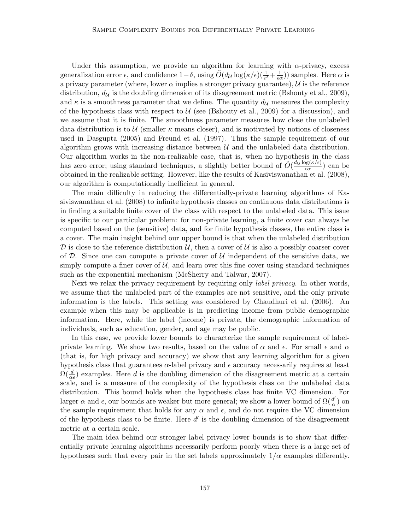Under this assumption, we provide an algorithm for learning with  $\alpha$ -privacy, excess generalization error  $\epsilon$ , and confidence  $1-\delta$ , using  $\tilde{O}(d\mu \log(\kappa/\epsilon))\left(\frac{1}{\epsilon^2}+\frac{1}{\epsilon c}\right)$  $(\frac{1}{\epsilon \alpha})$  samples. Here  $\alpha$  is a privacy parameter (where, lower  $\alpha$  implies a stronger privacy guarantee),  $\mathcal U$  is the reference distribution,  $d_{\mathcal{U}}$  is the doubling dimension of its disagreement metric [\(Bshouty et al., 2009\)](#page-17-2), and  $\kappa$  is a smoothness parameter that we define. The quantity  $d_{\mathcal{U}}$  measures the complexity of the hypothesis class with respect to  $U$  (see [\(Bshouty et al., 2009\)](#page-17-2) for a discussion), and we assume that it is finite. The smoothness parameter measures how close the unlabeled data distribution is to U (smaller  $\kappa$  means closer), and is motivated by notions of closeness used in [Dasgupta](#page-17-3) [\(2005\)](#page-17-3) and [Freund et al.](#page-17-4) [\(1997\)](#page-17-4). Thus the sample requirement of our algorithm grows with increasing distance between  $\mathcal U$  and the unlabeled data distribution. Our algorithm works in the non-realizable case, that is, when no hypothesis in the class has zero error; using standard techniques, a slightly better bound of  $\tilde{O}(\frac{d_{\mathcal{U}}\log(\kappa/\epsilon)}{\epsilon \alpha})$  $\frac{\log(\kappa/\epsilon)}{\epsilon \alpha}$  can be obtained in the realizable setting. However, like the results of [Kasiviswanathan et al.](#page-18-0) [\(2008\)](#page-18-0), our algorithm is computationally inefficient in general.

The main difficulty in reducing the differentially-private learning algorithms of [Ka](#page-18-0)[siviswanathan et al.](#page-18-0) [\(2008\)](#page-18-0) to infinite hypothesis classes on continuous data distributions is in finding a suitable finite cover of the class with respect to the unlabeled data. This issue is specific to our particular problem: for non-private learning, a finite cover can always be computed based on the (sensitive) data, and for finite hypothesis classes, the entire class is a cover. The main insight behind our upper bound is that when the unlabeled distribution D is close to the reference distribution U, then a cover of U is also a possibly coarser cover of D. Since one can compute a private cover of  $U$  independent of the sensitive data, we simply compute a finer cover of  $\mathcal{U}$ , and learn over this fine cover using standard techniques such as the exponential mechanism [\(McSherry and Talwar, 2007\)](#page-18-2).

Next we relax the privacy requirement by requiring only *label privacy*. In other words, we assume that the unlabeled part of the examples are not sensitive, and the only private information is the labels. This setting was considered by [Chaudhuri et al.](#page-17-0) [\(2006\)](#page-17-0). An example when this may be applicable is in predicting income from public demographic information. Here, while the label (income) is private, the demographic information of individuals, such as education, gender, and age may be public.

In this case, we provide lower bounds to characterize the sample requirement of labelprivate learning. We show two results, based on the value of  $\alpha$  and  $\epsilon$ . For small  $\epsilon$  and  $\alpha$ (that is, for high privacy and accuracy) we show that any learning algorithm for a given hypothesis class that guarantees  $\alpha$ -label privacy and  $\epsilon$  accuracy necessarily requires at least  $\Omega(\frac{d}{\alpha\epsilon})$  examples. Here d is the doubling dimension of the disagreement metric at a certain scale, and is a measure of the complexity of the hypothesis class on the unlabeled data distribution. This bound holds when the hypothesis class has finite VC dimension. For larger  $\alpha$  and  $\epsilon$ , our bounds are weaker but more general; we show a lower bound of  $\Omega(\frac{d'}{\alpha})$  $\frac{d'}{\alpha}$ ) on the sample requirement that holds for any  $\alpha$  and  $\epsilon$ , and do not require the VC dimension of the hypothesis class to be finite. Here  $d'$  is the doubling dimension of the disagreement metric at a certain scale.

The main idea behind our stronger label privacy lower bounds is to show that differentially private learning algorithms necessarily perform poorly when there is a large set of hypotheses such that every pair in the set labels approximately  $1/\alpha$  examples differently.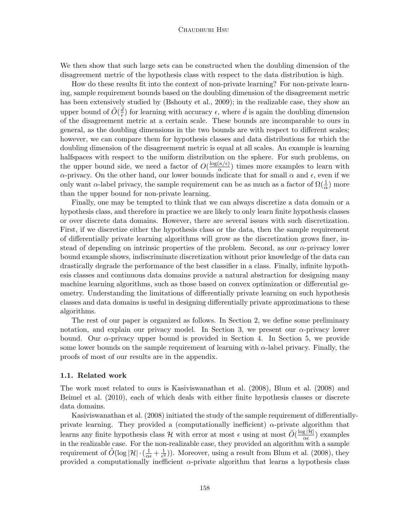#### Chaudhuri Hsu

We then show that such large sets can be constructed when the doubling dimension of the disagreement metric of the hypothesis class with respect to the data distribution is high.

How do these results fit into the context of non-private learning? For non-private learning, sample requirement bounds based on the doubling dimension of the disagreement metric has been extensively studied by [\(Bshouty et al., 2009\)](#page-17-2); in the realizable case, they show an upper bound of  $\tilde{O}(\frac{\bar{d}}{\epsilon})$  $\frac{d}{\epsilon}$ ) for learning with accuracy  $\epsilon$ , where  $\bar{d}$  is again the doubling dimension of the disagreement metric at a certain scale. These bounds are incomparable to ours in general, as the doubling dimensions in the two bounds are with respect to different scales; however, we can compare them for hypothesis classes and data distributions for which the doubling dimension of the disagreement metric is equal at all scales. An example is learning halfspaces with respect to the uniform distribution on the sphere. For such problems, on the upper bound side, we need a factor of  $O(\frac{\log(\kappa/\epsilon)}{\alpha})$  $\frac{K}{\alpha}$ ) times more examples to learn with  $\alpha$ -privacy. On the other hand, our lower bounds indicate that for small  $\alpha$  and  $\epsilon$ , even if we only want  $\alpha$ -label privacy, the sample requirement can be as much as a factor of  $\Omega(\frac{1}{\alpha})$  more than the upper bound for non-private learning.

Finally, one may be tempted to think that we can always discretize a data domain or a hypothesis class, and therefore in practice we are likely to only learn finite hypothesis classes or over discrete data domains. However, there are several issues with such discretization. First, if we discretize either the hypothesis class or the data, then the sample requirement of differentially private learning algorithms will grow as the discretization grows finer, instead of depending on intrinsic properties of the problem. Second, as our  $\alpha$ -privacy lower bound example shows, indiscriminate discretization without prior knowledge of the data can drastically degrade the performance of the best classifier in a class. Finally, infinite hypothesis classes and continuous data domains provide a natural abstraction for designing many machine learning algorithms, such as those based on convex optimization or differential geometry. Understanding the limitations of differentially private learning on such hypothesis classes and data domains is useful in designing differentially private approximations to these algorithms.

The rest of our paper is organized as follows. In Section [2,](#page-5-0) we define some preliminary notation, and explain our privacy model. In Section [3,](#page-8-0) we present our  $\alpha$ -privacy lower bound. Our  $\alpha$ -privacy upper bound is provided in Section [4.](#page-10-0) In Section [5,](#page-14-0) we provide some lower bounds on the sample requirement of learning with  $\alpha$ -label privacy. Finally, the proofs of most of our results are in the appendix.

#### 1.1. Related work

The work most related to ours is [Kasiviswanathan et al.](#page-18-0) [\(2008\)](#page-18-0), [Blum et al.](#page-17-5) [\(2008\)](#page-17-5) and [Beimel et al.](#page-17-6) [\(2010\)](#page-17-6), each of which deals with either finite hypothesis classes or discrete data domains.

[Kasiviswanathan et al.](#page-18-0) [\(2008\)](#page-18-0) initiated the study of the sample requirement of differentiallyprivate learning. They provided a (computationally inefficient)  $\alpha$ -private algorithm that learns any finite hypothesis class H with error at most  $\epsilon$  using at most  $\tilde{O}(\frac{\log |\mathcal{H}|}{\alpha \epsilon})$  $\frac{g|\mathcal{H}|}{\alpha \epsilon}$  examples in the realizable case. For the non-realizable case, they provided an algorithm with a sample requirement of  $\tilde{O}(\log |\mathcal{H}| \cdot (\frac{1}{\alpha \epsilon} + \frac{1}{\epsilon^2}))$  $(\frac{1}{\epsilon^2})$ ). Moreover, using a result from [Blum et al.](#page-17-5) [\(2008\)](#page-17-5), they provided a computationally inefficient  $\alpha$ -private algorithm that learns a hypothesis class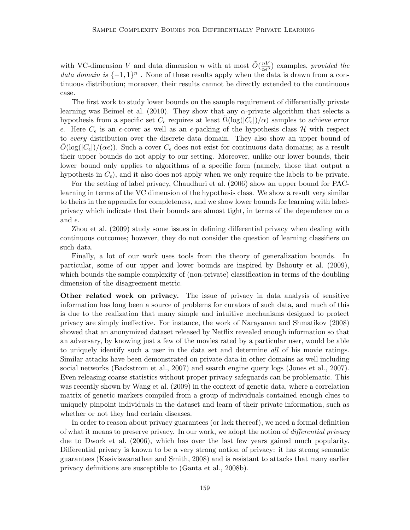with VC-dimension V and data dimension n with at most  $\tilde{O}(\frac{nV}{\alpha\epsilon^3})$  examples, provided the data domain is  $\{-1,1\}^n$ . None of these results apply when the data is drawn from a continuous distribution; moreover, their results cannot be directly extended to the continuous case.

The first work to study lower bounds on the sample requirement of differentially private learning was [Beimel et al.](#page-17-6) [\(2010\)](#page-17-6). They show that any  $\alpha$ -private algorithm that selects a hypothesis from a specific set  $C_{\epsilon}$  requires at least  $\Omega(\log(|C_{\epsilon}|)/\alpha)$  samples to achieve error  $\epsilon$ . Here  $C_{\epsilon}$  is an  $\epsilon$ -cover as well as an  $\epsilon$ -packing of the hypothesis class H with respect to every distribution over the discrete data domain. They also show an upper bound of  $O(\log(|C_{\epsilon}|)/(\alpha \epsilon))$ . Such a cover  $C_{\epsilon}$  does not exist for continuous data domains; as a result their upper bounds do not apply to our setting. Moreover, unlike our lower bounds, their lower bound only applies to algorithms of a specific form (namely, those that output a hypothesis in  $C_{\epsilon}$ ), and it also does not apply when we only require the labels to be private.

For the setting of label privacy, [Chaudhuri et al.](#page-17-0) [\(2006\)](#page-17-0) show an upper bound for PAClearning in terms of the VC dimension of the hypothesis class. We show a result very similar to theirs in the appendix for completeness, and we show lower bounds for learning with labelprivacy which indicate that their bounds are almost tight, in terms of the dependence on  $\alpha$ and  $\epsilon$ .

[Zhou et al.](#page-19-0) [\(2009\)](#page-19-0) study some issues in defining differential privacy when dealing with continuous outcomes; however, they do not consider the question of learning classifiers on such data.

Finally, a lot of our work uses tools from the theory of generalization bounds. In particular, some of our upper and lower bounds are inspired by [Bshouty et al.](#page-17-2) [\(2009\)](#page-17-2), which bounds the sample complexity of (non-private) classification in terms of the doubling dimension of the disagreement metric.

Other related work on privacy. The issue of privacy in data analysis of sensitive information has long been a source of problems for curators of such data, and much of this is due to the realization that many simple and intuitive mechanisms designed to protect privacy are simply ineffective. For instance, the work of [Narayanan and Shmatikov](#page-18-3) [\(2008\)](#page-18-3) showed that an anonymized dataset released by Netflix revealed enough information so that an adversary, by knowing just a few of the movies rated by a particular user, would be able to uniquely identify such a user in the data set and determine all of his movie ratings. Similar attacks have been demonstrated on private data in other domains as well including social networks [\(Backstrom et al., 2007\)](#page-16-0) and search engine query logs [\(Jones et al., 2007\)](#page-18-4). Even releasing coarse statistics without proper privacy safeguards can be problematic. This was recently shown by [Wang et al.](#page-19-1) [\(2009\)](#page-19-1) in the context of genetic data, where a correlation matrix of genetic markers compiled from a group of individuals contained enough clues to uniquely pinpoint individuals in the dataset and learn of their private information, such as whether or not they had certain diseases.

In order to reason about privacy guarantees (or lack thereof), we need a formal definition of what it means to preserve privacy. In our work, we adopt the notion of differential privacy due to [Dwork et al.](#page-17-1) [\(2006\)](#page-17-1), which has over the last few years gained much popularity. Differential privacy is known to be a very strong notion of privacy: it has strong semantic guarantees [\(Kasiviswanathan and Smith, 2008\)](#page-18-5) and is resistant to attacks that many earlier privacy definitions are susceptible to [\(Ganta et al., 2008b\)](#page-17-7).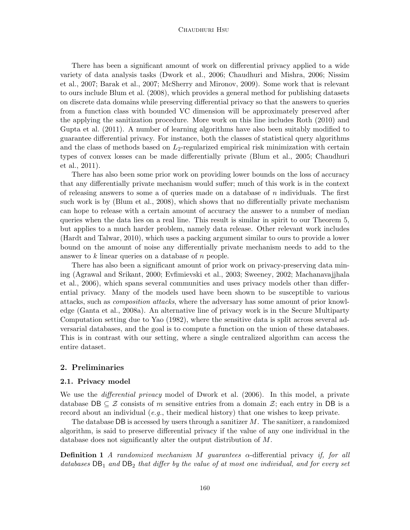#### Chaudhuri Hsu

There has been a significant amount of work on differential privacy applied to a wide variety of data analysis tasks [\(Dwork et al., 2006;](#page-17-1) [Chaudhuri and Mishra, 2006;](#page-17-8) [Nissim](#page-18-6) [et al., 2007;](#page-18-6) [Barak et al., 2007;](#page-17-9) [McSherry and Mironov, 2009\)](#page-18-7). Some work that is relevant to ours include [Blum et al.](#page-17-5) [\(2008\)](#page-17-5), which provides a general method for publishing datasets on discrete data domains while preserving differential privacy so that the answers to queries from a function class with bounded VC dimension will be approximately preserved after the applying the sanitization procedure. More work on this line includes [Roth](#page-18-8) [\(2010\)](#page-18-8) and [Gupta et al.](#page-17-10) [\(2011\)](#page-17-10). A number of learning algorithms have also been suitably modified to guarantee differential privacy. For instance, both the classes of statistical query algorithms and the class of methods based on  $L_2$ -regularized empirical risk minimization with certain types of convex losses can be made differentially private [\(Blum et al., 2005;](#page-17-11) [Chaudhuri](#page-17-12) [et al., 2011\)](#page-17-12).

There has also been some prior work on providing lower bounds on the loss of accuracy that any differentially private mechanism would suffer; much of this work is in the context of releasing answers to some a of queries made on a database of  $n$  individuals. The first such work is by [\(Blum et al., 2008\)](#page-17-5), which shows that no differentially private mechanism can hope to release with a certain amount of accuracy the answer to a number of median queries when the data lies on a real line. This result is similar in spirit to our Theorem [5,](#page-9-0) but applies to a much harder problem, namely data release. Other relevant work includes [\(Hardt and Talwar, 2010\)](#page-18-9), which uses a packing argument similar to ours to provide a lower bound on the amount of noise any differentially private mechanism needs to add to the answer to k linear queries on a database of n people.

There has also been a significant amount of prior work on privacy-preserving data mining [\(Agrawal and Srikant, 2000;](#page-16-1) [Evfimievski et al., 2003;](#page-17-13) [Sweeney, 2002;](#page-18-10) [Machanavajjhala](#page-18-11) [et al., 2006\)](#page-18-11), which spans several communities and uses privacy models other than differential privacy. Many of the models used have been shown to be susceptible to various attacks, such as composition attacks, where the adversary has some amount of prior knowledge [\(Ganta et al., 2008a\)](#page-17-14). An alternative line of privacy work is in the Secure Multiparty Computation setting due to [Yao](#page-19-2) [\(1982\)](#page-19-2), where the sensitive data is split across several adversarial databases, and the goal is to compute a function on the union of these databases. This is in contrast with our setting, where a single centralized algorithm can access the entire dataset.

# <span id="page-5-0"></span>2. Preliminaries

#### 2.1. Privacy model

We use the *differential privacy* model of [Dwork et al.](#page-17-1) [\(2006\)](#page-17-1). In this model, a private database DB  $\subseteq \mathcal{Z}$  consists of m sensitive entries from a domain  $\mathcal{Z}$ ; each entry in DB is a record about an individual (e.g., their medical history) that one wishes to keep private.

The database DB is accessed by users through a sanitizer  $M$ . The sanitizer, a randomized algorithm, is said to preserve differential privacy if the value of any one individual in the database does not significantly alter the output distribution of M.

**Definition 1** A randomized mechanism M guarantees  $\alpha$ -differential privacy if, for all databases  $DB_1$  and  $DB_2$  that differ by the value of at most one individual, and for every set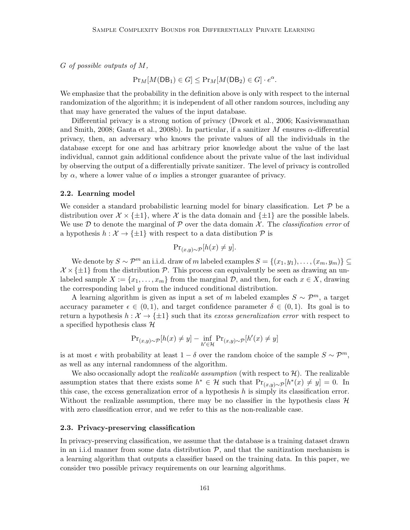$G$  of possible outputs of  $M$ ,

$$
Pr_M[M(DB_1) \in G] \le Pr_M[M(DB_2) \in G] \cdot e^{\alpha}.
$$

We emphasize that the probability in the definition above is only with respect to the internal randomization of the algorithm; it is independent of all other random sources, including any that may have generated the values of the input database.

Differential privacy is a strong notion of privacy [\(Dwork et al., 2006;](#page-17-1) [Kasiviswanathan](#page-18-5) [and Smith, 2008;](#page-18-5) [Ganta et al., 2008b\)](#page-17-7). In particular, if a sanitizer M ensures  $\alpha$ -differential privacy, then, an adversary who knows the private values of all the individuals in the database except for one and has arbitrary prior knowledge about the value of the last individual, cannot gain additional confidence about the private value of the last individual by observing the output of a differentially private sanitizer. The level of privacy is controlled by  $\alpha$ , where a lower value of  $\alpha$  implies a stronger guarantee of privacy.

#### 2.2. Learning model

We consider a standard probabilistic learning model for binary classification. Let  $\mathcal P$  be a distribution over  $\mathcal{X} \times \{\pm 1\}$ , where  $\mathcal{X}$  is the data domain and  $\{\pm 1\}$  are the possible labels. We use  $\mathcal D$  to denote the marginal of  $\mathcal P$  over the data domain  $\mathcal X$ . The *classification error* of a hypothesis  $h : \mathcal{X} \to \{\pm 1\}$  with respect to a data distibution  $\mathcal{P}$  is

$$
\Pr_{(x,y)\sim\mathcal{P}}[h(x)\neq y].
$$

We denote by  $S \sim \mathcal{P}^m$  an i.i.d. draw of m labeled examples  $S = \{(x_1, y_1), \ldots, (x_m, y_m)\} \subseteq$  $\mathcal{X} \times \{\pm 1\}$  from the distribution P. This process can equivalently be seen as drawing an unlabeled sample  $X := \{x_1, \ldots, x_m\}$  from the marginal  $D$ , and then, for each  $x \in X$ , drawing the corresponding label  $y$  from the induced conditional distribution.

A learning algorithm is given as input a set of m labeled examples  $S \sim \mathcal{P}^m$ , a target accuracy parameter  $\epsilon \in (0,1)$ , and target confidence parameter  $\delta \in (0,1)$ . Its goal is to return a hypothesis  $h : \mathcal{X} \to \{\pm 1\}$  such that its excess generalization error with respect to a specified hypothesis class  $\mathcal H$ 

$$
\Pr_{(x,y)\sim\mathcal{P}}[h(x) \neq y] - \inf_{h' \in \mathcal{H}} \Pr_{(x,y)\sim\mathcal{P}}[h'(x) \neq y]
$$

is at most  $\epsilon$  with probability at least  $1 - \delta$  over the random choice of the sample  $S \sim \mathcal{P}^m$ , as well as any internal randomness of the algorithm.

We also occasionally adopt the *realizable assumption* (with respect to  $\mathcal{H}$ ). The realizable assumption states that there exists some  $h^* \in \mathcal{H}$  such that  $Pr_{(x,y)\sim\mathcal{P}}[h^*(x) \neq y] = 0$ . In this case, the excess generalization error of a hypothesis  $h$  is simply its classification error. Without the realizable assumption, there may be no classifier in the hypothesis class  $\mathcal{H}$ with zero classification error, and we refer to this as the non-realizable case.

#### 2.3. Privacy-preserving classification

In privacy-preserving classification, we assume that the database is a training dataset drawn in an i.i.d manner from some data distribution  $P$ , and that the sanitization mechanism is a learning algorithm that outputs a classifier based on the training data. In this paper, we consider two possible privacy requirements on our learning algorithms.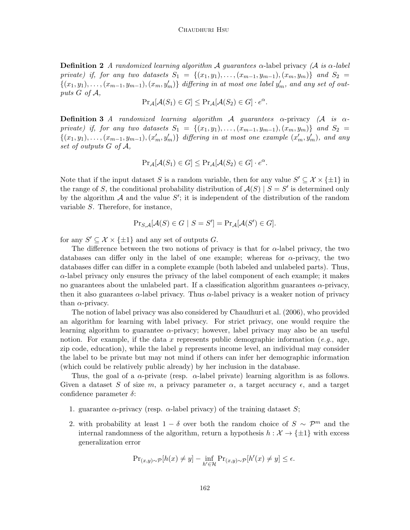**Definition 2** A randomized learning algorithm A guarantees  $\alpha$ -label privacy (A is  $\alpha$ -label private) if, for any two datasets  $S_1 = \{(x_1,y_1), \ldots, (x_{m-1}, y_{m-1}), (x_m, y_m)\}\$  and  $S_2 =$  $\{(x_1,y_1),\ldots,(x_{m-1},y_{m-1}),(x_m,y_m')\}\$ differing in at most one label  $y'_m$ , and any set of outputs G of A,

$$
Pr_{\mathcal{A}}[\mathcal{A}(S_1) \in G] \leq Pr_{\mathcal{A}}[\mathcal{A}(S_2) \in G] \cdot e^{\alpha}.
$$

**Definition 3** A randomized learning algorithm A quarantees  $\alpha$ -privacy (A is  $\alpha$ private) if, for any two datasets  $S_1 = \{(x_1,y_1), \ldots, (x_{m-1}, y_{m-1}), (x_m, y_m)\}\$  and  $S_2 =$  $\{(x_1,y_1),\ldots,(x_{m-1},y_{m-1}),(x'_m,y'_m)\}\$  differing in at most one example  $(x'_m,y'_m)$ , and any set of outputs G of A,

$$
Pr_{\mathcal{A}}[\mathcal{A}(S_1) \in G] \leq Pr_{\mathcal{A}}[\mathcal{A}(S_2) \in G] \cdot e^{\alpha}.
$$

Note that if the input dataset S is a random variable, then for any value  $S' \subseteq \mathcal{X} \times \{\pm 1\}$  in the range of S, the conditional probability distribution of  $\mathcal{A}(S) \mid S = S'$  is determined only by the algorithm  $A$  and the value  $S'$ ; it is independent of the distribution of the random variable S. Therefore, for instance,

$$
Pr_{S,A}[A(S) \in G \mid S = S'] = Pr_A[A(S') \in G].
$$

for any  $S' \subseteq \mathcal{X} \times \{\pm 1\}$  and any set of outputs G.

The difference between the two notions of privacy is that for  $\alpha$ -label privacy, the two databases can differ only in the label of one example; whereas for  $\alpha$ -privacy, the two databases differ can differ in a complete example (both labeled and unlabeled parts). Thus,  $\alpha$ -label privacy only ensures the privacy of the label component of each example; it makes no guarantees about the unlabeled part. If a classification algorithm guarantees  $\alpha$ -privacy, then it also guarantees  $\alpha$ -label privacy. Thus  $\alpha$ -label privacy is a weaker notion of privacy than  $\alpha$ -privacy.

The notion of label privacy was also considered by [Chaudhuri et al.](#page-17-0) [\(2006\)](#page-17-0), who provided an algorithm for learning with label privacy. For strict privacy, one would require the learning algorithm to guarantee  $\alpha$ -privacy; however, label privacy may also be an useful notion. For example, if the data x represents public demographic information (e.g., age, zip code, education), while the label  $y$  represents income level, an individual may consider the label to be private but may not mind if others can infer her demographic information (which could be relatively public already) by her inclusion in the database.

Thus, the goal of a  $\alpha$ -private (resp.  $\alpha$ -label private) learning algorithm is as follows. Given a dataset S of size m, a privacy parameter  $\alpha$ , a target accuracy  $\epsilon$ , and a target confidence parameter  $\delta$ :

- 1. guarantee  $\alpha$ -privacy (resp.  $\alpha$ -label privacy) of the training dataset S;
- 2. with probability at least  $1 \delta$  over both the random choice of  $S \sim \mathcal{P}^m$  and the internal randomness of the algorithm, return a hypothesis  $h : \mathcal{X} \to {\pm 1}$  with excess generalization error

$$
\Pr_{(x,y)\sim\mathcal{P}}[h(x)\neq y] - \inf_{h'\in\mathcal{H}} \Pr_{(x,y)\sim\mathcal{P}}[h'(x)\neq y] \leq \epsilon.
$$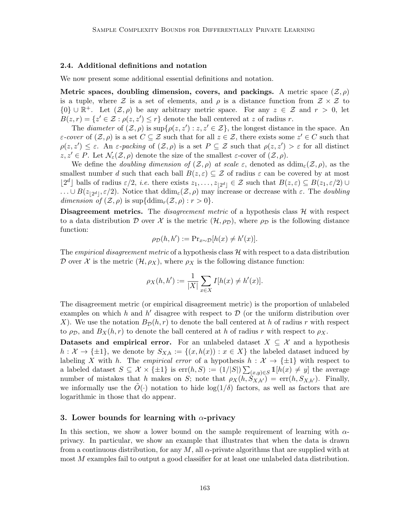#### 2.4. Additional definitions and notation

We now present some additional essential definitions and notation.

Metric spaces, doubling dimension, covers, and packings. A metric space  $(\mathcal{Z}, \rho)$ is a tuple, where  $\mathcal Z$  is a set of elements, and  $\rho$  is a distance function from  $\mathcal Z \times \mathcal Z$  to  ${0} \cup \mathbb{R}^+$ . Let  $(\mathcal{Z}, \rho)$  be any arbitrary metric space. For any  $z \in \mathcal{Z}$  and  $r > 0$ , let  $B(z,r) = \{z' \in \mathcal{Z} : \rho(z,z') \leq r\}$  denote the ball centered at z of radius r.

The diameter of  $(\mathcal{Z}, \rho)$  is sup $\{\rho(z, z'): z, z' \in \mathcal{Z}\}\)$ , the longest distance in the space. An  $\varepsilon$ -cover of  $(\mathcal{Z}, \rho)$  is a set  $C \subseteq \mathcal{Z}$  such that for all  $z \in \mathcal{Z}$ , there exists some  $z' \in C$  such that  $\rho(z, z') \leq \varepsilon$ . An  $\varepsilon$ -packing of  $(\mathcal{Z}, \rho)$  is a set  $P \subseteq \mathcal{Z}$  such that  $\rho(z, z') > \varepsilon$  for all distinct  $z, z' \in P$ . Let  $\mathcal{N}_{\varepsilon}(\mathcal{Z}, \rho)$  denote the size of the smallest  $\varepsilon$ -cover of  $(\mathcal{Z}, \rho)$ .

We define the *doubling dimension of*  $(\mathcal{Z}, \rho)$  at scale  $\varepsilon$ , denoted as ddim<sub> $\varepsilon$ </sub> $(\mathcal{Z}, \rho)$ , as the smallest number d such that each ball  $B(z, \varepsilon) \subseteq \mathcal{Z}$  of radius  $\varepsilon$  can be covered by at most  $\lfloor 2^d \rfloor$  balls of radius  $\varepsilon/2$ , *i.e.* there exists  $z_1, \ldots, z_{\lfloor 2^d \rfloor} \in \mathcal{Z}$  such that  $B(z, \varepsilon) \subseteq B(z_1, \varepsilon/2) \cup$  $\ldots \cup B(z_{|2^d|}, \varepsilon/2)$ . Notice that  $\text{ddim}_{\varepsilon}(\mathcal{Z}, \rho)$  may increase or decrease with  $\varepsilon$ . The *doubling* dimension of  $(\mathcal{Z}, \rho)$  is sup $\{\mathrm{ddim}_r(\mathcal{Z}, \rho) : r > 0\}.$ 

**Disagreement metrics.** The *disagreement metric* of a hypothesis class  $H$  with respect to a data distribution D over X is the metric  $(\mathcal{H}, \rho_D)$ , where  $\rho_D$  is the following distance function:

$$
\rho_{\mathcal{D}}(h, h') := \Pr_{x \sim \mathcal{D}}[h(x) \neq h'(x)].
$$

The *empirical disagreement metric* of a hypothesis class  $H$  with respect to a data distribution D over X is the metric  $(\mathcal{H}, \rho_X)$ , where  $\rho_X$  is the following distance function:

$$
\rho_X(h, h') := \frac{1}{|X|} \sum_{x \in X} I[h(x) \neq h'(x)].
$$

The disagreement metric (or empirical disagreement metric) is the proportion of unlabeled examples on which h and h' disagree with respect to  $\mathcal D$  (or the uniform distribution over X). We use the notation  $B_{\mathcal{D}}(h,r)$  to denote the ball centered at h of radius r with respect to  $\rho_{\mathcal{D}}$ , and  $B_X(h,r)$  to denote the ball centered at h of radius r with respect to  $\rho_X$ .

Datasets and empirical error. For an unlabeled dataset  $X \subseteq \mathcal{X}$  and a hypothesis  $h: \mathcal{X} \to \{\pm 1\}$ , we denote by  $S_{X,h} := \{(x, h(x)) : x \in X\}$  the labeled dataset induced by labeling X with h. The *empirical error* of a hypothesis  $h : \mathcal{X} \to {\pm 1}$  with respect to a labeled dataset  $S \subseteq \mathcal{X} \times \{\pm 1\}$  is  $\text{err}(h, S) := (1/|S|) \sum_{(x,y) \in S} 1[h(x) \neq y]$  the average number of mistakes that h makes on S; note that  $\rho_X(h, \dot{S}_{X,h'}) = \text{err}(h, S_{X,h'})$ . Finally, we informally use the  $O(\cdot)$  notation to hide  $log(1/\delta)$  factors, as well as factors that are logarithmic in those that do appear.

#### <span id="page-8-0"></span>3. Lower bounds for learning with  $\alpha$ -privacy

In this section, we show a lower bound on the sample requirement of learning with  $\alpha$ privacy. In particular, we show an example that illustrates that when the data is drawn from a continuous distribution, for any M, all  $\alpha$ -private algorithms that are supplied with at most M examples fail to output a good classifier for at least one unlabeled data distribution.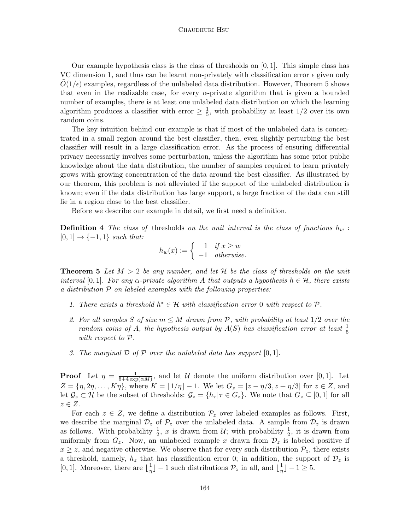#### Chaudhuri Hsu

Our example hypothesis class is the class of thresholds on  $[0, 1]$ . This simple class has VC dimension 1, and thus can be learnt non-privately with classification error  $\epsilon$  given only  $O(1/\epsilon)$  examples, regardless of the unlabeled data distribution. However, Theorem [5](#page-9-0) shows that even in the realizable case, for every  $\alpha$ -private algorithm that is given a bounded number of examples, there is at least one unlabeled data distribution on which the learning algorithm produces a classifier with error  $\geq \frac{1}{5}$  $\frac{1}{5}$ , with probability at least 1/2 over its own random coins.

The key intuition behind our example is that if most of the unlabeled data is concentrated in a small region around the best classifier, then, even slightly perturbing the best classifier will result in a large classification error. As the process of ensuring differential privacy necessarily involves some perturbation, unless the algorithm has some prior public knowledge about the data distribution, the number of samples required to learn privately grows with growing concentration of the data around the best classifier. As illustrated by our theorem, this problem is not alleviated if the support of the unlabeled distribution is known; even if the data distribution has large support, a large fraction of the data can still lie in a region close to the best classifier.

Before we describe our example in detail, we first need a definition.

**Definition 4** The class of thresholds on the unit interval is the class of functions  $h_w$ :  $[0, 1] \rightarrow \{-1, 1\}$  such that:

$$
h_w(x) := \begin{cases} 1 & \text{if } x \ge w \\ -1 & \text{otherwise.} \end{cases}
$$

**Theorem 5** Let  $M > 2$  be any number, and let H be the class of thresholds on the unit interval [0, 1]. For any  $\alpha$ -private algorithm A that outputs a hypothesis  $h \in \mathcal{H}$ , there exists a distribution P on labeled examples with the following properties:

- 1. There exists a threshold  $h^* \in \mathcal{H}$  with classification error 0 with respect to  $\mathcal{P}$ .
- 2. For all samples S of size  $m \leq M$  drawn from P, with probability at least  $1/2$  over the random coins of A, the hypothesis output by  $A(S)$  has classification error at least  $\frac{1}{5}$ with respect to P.
- <span id="page-9-0"></span>3. The marginal  $D$  of  $P$  over the unlabeled data has support  $[0, 1]$ .

**Proof** Let  $\eta = \frac{1}{6+4 \text{ evr}}$  $\frac{1}{6+4\exp(\alpha M)}$ , and let U denote the uniform distribution over [0, 1]. Let  $Z = \{\eta, 2\eta, \dots, K\eta\},\$  where  $K = \lfloor 1/\eta \rfloor - 1.$  We let  $G_z = [z - \eta/3, z + \eta/3]$  for  $z \in Z$ , and let  $\mathcal{G}_z \subset \mathcal{H}$  be the subset of thresholds:  $\mathcal{G}_z = \{h_\tau | \tau \in G_z\}$ . We note that  $G_z \subseteq [0,1]$  for all  $z \in Z$ .

For each  $z \in Z$ , we define a distribution  $\mathcal{P}_z$  over labeled examples as follows. First, we describe the marginal  $\mathcal{D}_z$  of  $\mathcal{P}_z$  over the unlabeled data. A sample from  $\mathcal{D}_z$  is drawn as follows. With probability  $\frac{1}{2}$ , x is drawn from U; with probability  $\frac{1}{2}$ , it is drawn from uniformly from  $G_z$ . Now, an unlabeled example x drawn from  $\mathcal{D}_z$  is labeled positive if  $x \geq z$ , and negative otherwise. We observe that for every such distribution  $\mathcal{P}_z$ , there exists a threshold, namely,  $h_z$  that has classification error 0; in addition, the support of  $\mathcal{D}_z$  is [0, 1]. Moreover, there are  $\frac{1}{n}$  $\frac{1}{\eta}$ ] – 1 such distributions  $\mathcal{P}_z$  in all, and  $\lfloor \frac{1}{\eta} \rfloor$  $\frac{1}{\eta}$ ] – 1  $\geq$  5.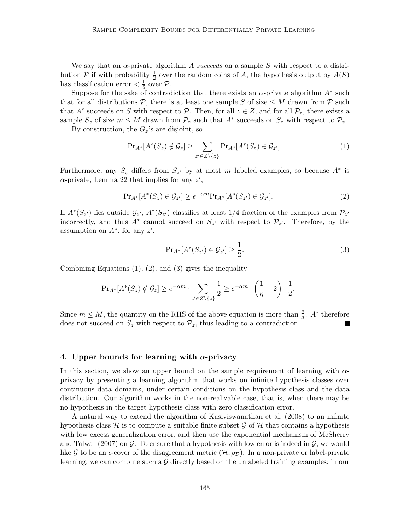We say that an  $\alpha$ -private algorithm A succeeds on a sample S with respect to a distribution  $P$  if with probability  $\frac{1}{2}$  over the random coins of A, the hypothesis output by  $A(S)$ has classification error  $\langle \frac{1}{5} \rangle$  $\frac{1}{5}$  over  $\mathcal{P}$ .

Suppose for the sake of contradiction that there exists an  $\alpha$ -private algorithm  $A^*$  such that for all distributions  $P$ , there is at least one sample S of size  $\leq M$  drawn from P such that  $A^*$  succeeds on S with respect to P. Then, for all  $z \in Z$ , and for all  $\mathcal{P}_z$ , there exists a sample  $S_z$  of size  $m \leq M$  drawn from  $\mathcal{P}_z$  such that  $A^*$  succeeds on  $S_z$  with respect to  $\mathcal{P}_z$ .

By construction, the  $G_z$ 's are disjoint, so

<span id="page-10-1"></span>
$$
\Pr_{A^*}[A^*(S_z) \notin \mathcal{G}_z] \ge \sum_{z' \in Z \setminus \{z\}} \Pr_{A^*}[A^*(S_z) \in \mathcal{G}_{z'}]. \tag{1}
$$

Furthermore, any  $S_z$  differs from  $S_{z'}$  by at most m labeled examples, so because  $A^*$  is  $\alpha$ -private, Lemma [22](#page-24-0) that implies for any  $z'$ ,

<span id="page-10-2"></span>
$$
\Pr_{A^*}[A^*(S_z) \in \mathcal{G}_{z'}] \ge e^{-\alpha m} \Pr_{A^*}[A^*(S_{z'}) \in \mathcal{G}_{z'}].
$$
\n(2)

If  $A^*(S_{z})$  lies outside  $\mathcal{G}_{z'}$ ,  $A^*(S_{z'})$  classifies at least 1/4 fraction of the examples from  $\mathcal{P}_{z'}$ incorrectly, and thus  $A^*$  cannot succeed on  $S_{z'}$  with respect to  $\mathcal{P}_{z'}$ . Therefore, by the assumption on  $A^*$ , for any  $z'$ ,

<span id="page-10-3"></span>
$$
\Pr_{A^*}[A^*(S_{z'}) \in \mathcal{G}_{z'}] \ge \frac{1}{2}.\tag{3}
$$

Combining Equations  $(1)$ ,  $(2)$ , and  $(3)$  gives the inequality

$$
\Pr_{A^*}[A^*(S_z) \notin \mathcal{G}_z] \ge e^{-\alpha m} \cdot \sum_{z' \in Z \setminus \{z\}} \frac{1}{2} \ge e^{-\alpha m} \cdot \left(\frac{1}{\eta} - 2\right) \cdot \frac{1}{2}.
$$

Since  $m \leq M$ , the quantity on the RHS of the above equation is more than  $\frac{2}{3}$ .  $A^*$  therefore does not succeed on  $S_z$  with respect to  $\mathcal{P}_z$ , thus leading to a contradiction.

# <span id="page-10-0"></span>4. Upper bounds for learning with  $\alpha$ -privacy

In this section, we show an upper bound on the sample requirement of learning with  $\alpha$ privacy by presenting a learning algorithm that works on infinite hypothesis classes over continuous data domains, under certain conditions on the hypothesis class and the data distribution. Our algorithm works in the non-realizable case, that is, when there may be no hypothesis in the target hypothesis class with zero classification error.

A natural way to extend the algorithm of [Kasiviswanathan et al.](#page-18-0) [\(2008\)](#page-18-0) to an infinite hypothesis class  $\mathcal H$  is to compute a suitable finite subset  $\mathcal G$  of  $\mathcal H$  that contains a hypothesis with low excess generalization error, and then use the exponential mechanism of [McSherry](#page-18-2) [and Talwar](#page-18-2) [\(2007\)](#page-18-2) on  $\mathcal G$ . To ensure that a hypothesis with low error is indeed in  $\mathcal G$ , we would like G to be an  $\epsilon$ -cover of the disagreement metric  $(\mathcal{H}, \rho_D)$ . In a non-private or label-private learning, we can compute such a  $\mathcal G$  directly based on the unlabeled training examples; in our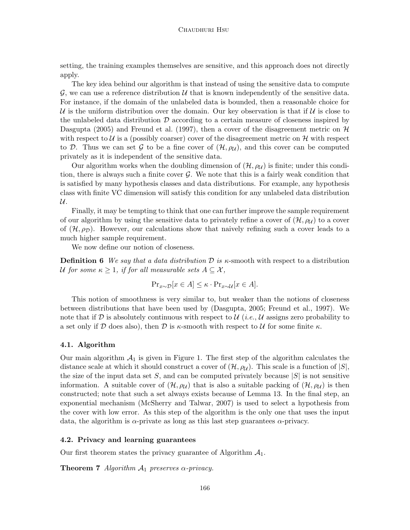setting, the training examples themselves are sensitive, and this approach does not directly apply.

The key idea behind our algorithm is that instead of using the sensitive data to compute G, we can use a reference distribution  $\mathcal U$  that is known independently of the sensitive data. For instance, if the domain of the unlabeled data is bounded, then a reasonable choice for U is the uniform distribution over the domain. Our key observation is that if U is close to the unlabeled data distribution  $\mathcal D$  according to a certain measure of closeness inspired by [Dasgupta](#page-17-3) [\(2005\)](#page-17-3) and [Freund et al.](#page-17-4) [\(1997\)](#page-17-4), then a cover of the disagreement metric on  $\mathcal{H}$ with respect to  $\mathcal U$  is a (possibly coarser) cover of the disagreement metric on  $\mathcal H$  with respect to D. Thus we can set G to be a fine cover of  $(\mathcal{H}, \rho_{\mathcal{U}})$ , and this cover can be computed privately as it is independent of the sensitive data.

Our algorithm works when the doubling dimension of  $(\mathcal{H}, \rho_{\mathcal{U}})$  is finite; under this condition, there is always such a finite cover  $\mathcal G$ . We note that this is a fairly weak condition that is satisfied by many hypothesis classes and data distributions. For example, any hypothesis class with finite VC dimension will satisfy this condition for any unlabeled data distribution  $\mathcal{U}.$ 

Finally, it may be tempting to think that one can further improve the sample requirement of our algorithm by using the sensitive data to privately refine a cover of  $(\mathcal{H}, \rho_{\mathcal{U}})$  to a cover of  $(\mathcal{H}, \rho_{\mathcal{D}})$ . However, our calculations show that naively refining such a cover leads to a much higher sample requirement.

We now define our notion of closeness.

**Definition 6** We say that a data distribution  $\mathcal{D}$  is  $\kappa$ -smooth with respect to a distribution U for some  $\kappa \geq 1$ , if for all measurable sets  $A \subseteq \mathcal{X}$ ,

$$
\Pr_{x \sim \mathcal{D}}[x \in A] \leq \kappa \cdot \Pr_{x \sim \mathcal{U}}[x \in A].
$$

This notion of smoothness is very similar to, but weaker than the notions of closeness between distributions that have been used by [\(Dasgupta, 2005;](#page-17-3) [Freund et al., 1997\)](#page-17-4). We note that if D is absolutely continuous with respect to  $\mathcal{U}(i.e., \mathcal{U})$  assigns zero probability to a set only if D does also), then D is  $\kappa$ -smooth with respect to U for some finite  $\kappa$ .

#### 4.1. Algorithm

Our main algorithm  $A_1$  is given in Figure [1.](#page-12-0) The first step of the algorithm calculates the distance scale at which it should construct a cover of  $(\mathcal{H}, \rho_{\mathcal{U}})$ . This scale is a function of  $|S|$ , the size of the input data set S, and can be computed privately because  $|S|$  is not sensitive information. A suitable cover of  $(\mathcal{H}, \rho_{\mathcal{U}})$  that is also a suitable packing of  $(\mathcal{H}, \rho_{\mathcal{U}})$  is then constructed; note that such a set always exists because of Lemma [13.](#page-19-3) In the final step, an exponential mechanism [\(McSherry and Talwar, 2007\)](#page-18-2) is used to select a hypothesis from the cover with low error. As this step of the algorithm is the only one that uses the input data, the algorithm is  $\alpha$ -private as long as this last step guarantees  $\alpha$ -privacy.

#### 4.2. Privacy and learning guarantees

Our first theorem states the privacy guarantee of Algorithm  $A_1$ .

**Theorem 7** Algorithm  $A_1$  preserves  $\alpha$ -privacy.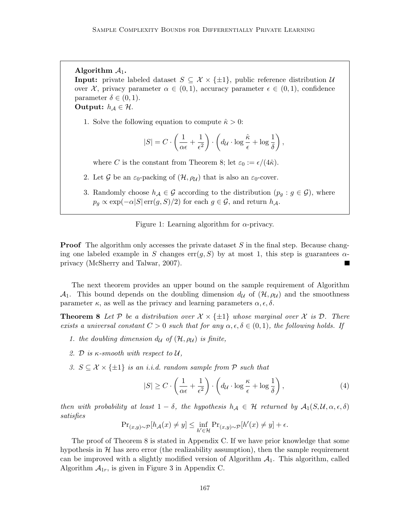Algorithm  $A_1$ .

**Input:** private labeled dataset  $S \subseteq \mathcal{X} \times \{\pm 1\}$ , public reference distribution  $\mathcal{U}$ over X, privacy parameter  $\alpha \in (0,1)$ , accuracy parameter  $\epsilon \in (0,1)$ , confidence parameter  $\delta \in (0,1)$ .

Output:  $h_{\mathcal{A}} \in \mathcal{H}$ .

1. Solve the following equation to compute  $\hat{\kappa} > 0$ :

$$
|S| = C \cdot \left(\frac{1}{\alpha \epsilon} + \frac{1}{\epsilon^2}\right) \cdot \left(d_{\mathcal{U}} \cdot \log \frac{\hat{\kappa}}{\epsilon} + \log \frac{1}{\delta}\right),\,
$$

where C is the constant from Theorem [8;](#page-12-1) let  $\varepsilon_0 := \epsilon/(4\hat{\kappa})$ .

- 2. Let G be an  $\varepsilon_0$ -packing of  $(\mathcal{H}, \rho_{\mathcal{U}})$  that is also an  $\varepsilon_0$ -cover.
- 3. Randomly choose  $h_{\mathcal{A}} \in \mathcal{G}$  according to the distribution  $(p_q : g \in \mathcal{G})$ , where  $p_g \propto \exp(-\alpha |S| \operatorname{err}(g, S)/2)$  for each  $g \in \mathcal{G}$ , and return  $h_{\mathcal{A}}$ .

<span id="page-12-0"></span>Figure 1: Learning algorithm for  $\alpha$ -privacy.

**Proof** The algorithm only accesses the private dataset  $S$  in the final step. Because changing one labeled example in S changes  $err(g, S)$  by at most 1, this step is guarantees  $\alpha$ privacy [\(McSherry and Talwar, 2007\)](#page-18-2).

The next theorem provides an upper bound on the sample requirement of Algorithm  $\mathcal{A}_1$ . This bound depends on the doubling dimension  $d_{\mathcal{U}}$  of  $(\mathcal{H}, \rho_{\mathcal{U}})$  and the smoothness parameter  $\kappa$ , as well as the privacy and learning parameters  $\alpha$ ,  $\epsilon$ ,  $\delta$ .

**Theorem 8** Let P be a distribution over  $\mathcal{X} \times \{\pm 1\}$  whose marginal over X is D. There exists a universal constant  $C > 0$  such that for any  $\alpha, \epsilon, \delta \in (0, 1)$ , the following holds. If

- 1. the doubling dimension  $d_{\mathcal{U}}$  of  $(\mathcal{H}, \rho_{\mathcal{U}})$  is finite,
- 2. D is  $\kappa$ -smooth with respect to U,
- 3.  $S \subseteq \mathcal{X} \times \{\pm 1\}$  is an i.i.d. random sample from P such that

<span id="page-12-3"></span><span id="page-12-1"></span>
$$
|S| \ge C \cdot \left(\frac{1}{\alpha \epsilon} + \frac{1}{\epsilon^2}\right) \cdot \left(d_{\mathcal{U}} \cdot \log \frac{\kappa}{\epsilon} + \log \frac{1}{\delta}\right),\tag{4}
$$

then with probability at least  $1 - \delta$ , the hypothesis  $h_A \in \mathcal{H}$  returned by  $\mathcal{A}_1(S, \mathcal{U}, \alpha, \epsilon, \delta)$ satisfies

<span id="page-12-2"></span>
$$
\Pr\nolimits_{(x,y)\sim\mathcal{P}}[h_{\mathcal{A}}(x) \neq y] \leq \inf_{h'\in\mathcal{H}} \Pr\nolimits_{(x,y)\sim\mathcal{P}}[h'(x) \neq y] + \epsilon.
$$

The proof of Theorem [8](#page-12-1) is stated in Appendix [C.](#page-20-0) If we have prior knowledge that some hypothesis in  $H$  has zero error (the realizability assumption), then the sample requirement can be improved with a slightly modified version of Algorithm  $A_1$ . This algorithm, called Algorithm  $A_{1r}$ , is given in Figure [3](#page-30-0) in Appendix [C.](#page-20-0)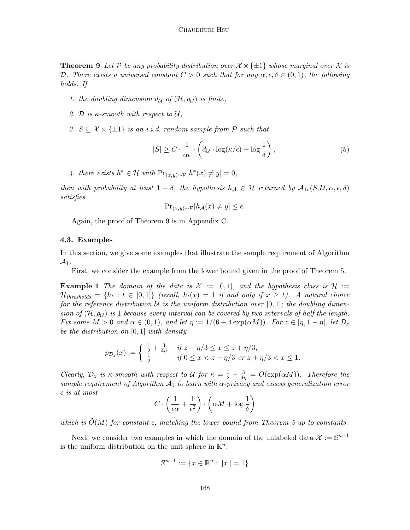**Theorem 9** Let P be any probability distribution over  $\mathcal{X} \times \{\pm 1\}$  whose marginal over X is D. There exists a universal constant  $C > 0$  such that for any  $\alpha, \epsilon, \delta \in (0,1)$ , the following holds. If

- 1. the doubling dimension  $d_{\mathcal{U}}$  of  $(\mathcal{H}, \rho_{\mathcal{U}})$  is finite,
- 2. D is  $\kappa$ -smooth with respect to  $\mathcal{U}$ ,
- 3.  $S \subseteq \mathcal{X} \times \{\pm 1\}$  is an i.i.d. random sample from P such that

<span id="page-13-0"></span>
$$
|S| \ge C \cdot \frac{1}{\alpha \epsilon} \cdot \left( d_{\mathcal{U}} \cdot \log(\kappa/\epsilon) + \log \frac{1}{\delta} \right),\tag{5}
$$

4. there exists  $h^* \in \mathcal{H}$  with  $\Pr_{(x,y)\sim \mathcal{P}}[h^*(x) \neq y] = 0$ ,

then with probability at least  $1 - \delta$ , the hypothesis  $h_A \in \mathcal{H}$  returned by  $\mathcal{A}_{1r}(S, \mathcal{U}, \alpha, \epsilon, \delta)$ satisfies

$$
\Pr_{(x,y)\sim\mathcal{P}}[h_{\mathcal{A}}(x) \neq y] \le \epsilon.
$$

Again, the proof of Theorem [9](#page-12-2) is in Appendix [C.](#page-20-0)

#### 4.3. Examples

In this section, we give some examples that illustrate the sample requirement of Algorithm  $\mathcal{A}_1$ .

First, we consider the example from the lower bound given in the proof of Theorem [5.](#page-9-0)

**Example 1** The domain of the data is  $\mathcal{X} := [0,1]$ , and the hypothesis class is  $\mathcal{H} :=$  $\mathcal{H}_{thresholds} = \{h_t : t \in [0,1]\}$  (recall,  $h_t(x) = 1$  if and only if  $x \geq t$ ). A natural choice for the reference distribution  $\mathcal U$  is the uniform distribution over  $[0,1]$ ; the doubling dimension of  $(\mathcal{H}, \rho_{\mathcal{U}})$  is 1 because every interval can be covered by two intervals of half the length. Fix some  $M > 0$  and  $\alpha \in (0, 1)$ , and let  $\eta := 1/(6 + 4 \exp(\alpha M))$ . For  $z \in [\eta, 1 - \eta]$ , let  $\mathcal{D}_z$ be the distribution on  $[0, 1]$  with density

$$
p_{\mathcal{D}_z}(x) := \begin{cases} \frac{1}{2} + \frac{3}{4\eta} & \text{if } z - \eta/3 \le x \le z + \eta/3, \\ \frac{1}{2} & \text{if } 0 \le x < z - \eta/3 \text{ or } z + \eta/3 < x \le 1. \end{cases}
$$

Clearly,  $\mathcal{D}_z$  is  $\kappa$ -smooth with respect to U for  $\kappa = \frac{1}{2} + \frac{3}{4\eta} = O(\exp(\alpha M))$ . Therefore the sample requirement of Algorithm  $A_1$  to learn with  $\alpha$ -privacy and excess generalization error  $\epsilon$  is at most

$$
C \cdot \left(\frac{1}{\epsilon \alpha} + \frac{1}{\epsilon^2}\right) \cdot \left(\alpha M + \log \frac{1}{\delta}\right)
$$

which is  $\tilde{O}(M)$  for constant  $\epsilon$ , matching the lower bound from Theorem [5](#page-9-0) up to constants.

Next, we consider two examples in which the domain of the unlabeled data  $\mathcal{X} := \mathbb{S}^{n-1}$ is the uniform distribution on the unit sphere in  $\mathbb{R}^n$ :

$$
\mathbb{S}^{n-1} := \{ x \in \mathbb{R}^n : ||x|| = 1 \}
$$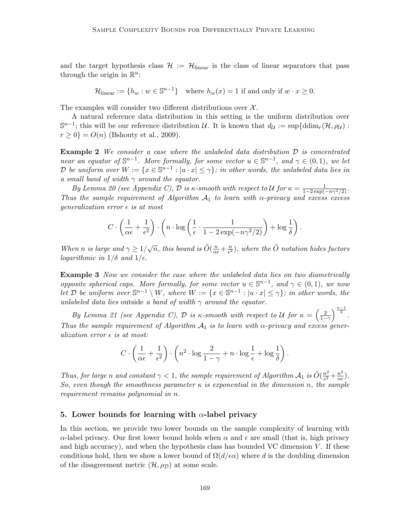and the target hypothesis class  $\mathcal{H} := \mathcal{H}_{\text{linear}}$  is the class of linear separators that pass through the origin in  $\mathbb{R}^n$ :

$$
\mathcal{H}_{\text{linear}} := \{ h_w : w \in \mathbb{S}^{n-1} \} \text{ where } h_w(x) = 1 \text{ if and only if } w \cdot x \ge 0.
$$

The examples will consider two different distributions over  $\mathcal{X}$ .

A natural reference data distribution in this setting is the uniform distribution over  $\mathbb{S}^{n-1}$ ; this will be our reference distribution U. It is known that  $d_{\mathcal{U}} := \sup \{ \mathrm{ddim}_{r}(\mathcal{H}, \rho_{\mathcal{U}}) :$  $r \ge 0$ } =  $O(n)$  [\(Bshouty et al., 2009\)](#page-17-2).

<span id="page-14-1"></span>**Example 2** We consider a case where the unlabeled data distribution  $D$  is concentrated near an equator of  $\mathbb{S}^{n-1}$ . More formally, for some vector  $u \in \mathbb{S}^{n-1}$ , and  $\gamma \in (0,1)$ , we let D be uniform over  $W := \{x \in \mathbb{S}^{n-1} : |u \cdot x| \leq \gamma\}$ ; in other words, the unlabeled data lies in a small band of width  $\gamma$  around the equator.

By Lemma [20](#page-23-0) (see Appendix [C\)](#page-20-0),  $\mathcal D$  is  $\kappa$ -smooth with respect to  $\mathcal U$  for  $\kappa = \frac{1}{1-2\exp(-n\gamma^2/2)}$ . Thus the sample requirement of Algorithm  $A_1$  to learn with  $\alpha$ -privacy and excess excess qeneralization error  $\epsilon$  is at most

$$
C \cdot \left(\frac{1}{\alpha \epsilon} + \frac{1}{\epsilon^2}\right) \cdot \left(n \cdot \log\left(\frac{1}{\epsilon} \cdot \frac{1}{1 - 2\exp(-n\gamma^2/2)}\right) + \log\frac{1}{\delta}\right).
$$

When n is large and  $\gamma \geq 1/\sqrt{n}$ , this bound is  $\tilde{O}(\frac{n}{\alpha \epsilon} + \frac{n}{\epsilon^2})$  $\frac{n}{\epsilon^2}$ ), where the  $\tilde{O}$  notation hides factors logarithmic in  $1/\delta$  and  $1/\epsilon$ .

<span id="page-14-2"></span>Example 3 Now we consider the case where the unlabeled data lies on two diametrically opposite spherical caps. More formally, for some vector  $u \in \mathbb{S}^{n-1}$ , and  $\gamma \in (0,1)$ , we now let D be uniform over  $\mathbb{S}^{n-1} \setminus W$ , where  $W := \{x \in \mathbb{S}^{n-1} : |u \cdot x| \leq \gamma\}$ ; in other words, the unlabeled data lies outside a band of width  $\gamma$  around the equator.

By Lemma [21](#page-23-1) (see Appendix [C\)](#page-20-0), D is  $\kappa$ -smooth with respect to U for  $\kappa = \left(\frac{2}{1-\gamma}\right)^{\frac{n-1}{2}}$ . Thus the sample requirement of Algorithm  $A_1$  is to learn with  $\alpha$ -privacy and excess generalization error  $\epsilon$  is at most:

$$
C \cdot \left(\frac{1}{\alpha \epsilon} + \frac{1}{\epsilon^2}\right) \cdot \left(n^2 \cdot \log \frac{2}{1-\gamma} + n \cdot \log \frac{1}{\epsilon} + \log \frac{1}{\delta}\right).
$$

Thus, for large n and constant  $\gamma < 1$ , the sample requirement of Algorithm  $\mathcal{A}_1$  is  $\tilde{O}(\frac{n^2}{\epsilon^2})$  $\frac{n^2}{\epsilon^2} + \frac{n^2}{\alpha \epsilon}$  $\frac{n^2}{\alpha \epsilon}$ ). So, even though the smoothness parameter  $\kappa$  is exponential in the dimension n, the sample requirement remains polynomial in n.

#### <span id="page-14-0"></span>5. Lower bounds for learning with  $\alpha$ -label privacy

In this section, we provide two lower bounds on the sample complexity of learning with  $\alpha$ -label privacy. Our first lower bound holds when  $\alpha$  and  $\epsilon$  are small (that is, high privacy and high accuracy), and when the hypothesis class has bounded VC dimension  $V$ . If these conditions hold, then we show a lower bound of  $\Omega(d/\epsilon \alpha)$  where d is the doubling dimension of the disagreement metric  $(\mathcal{H}, \rho_{\mathcal{D}})$  at some scale.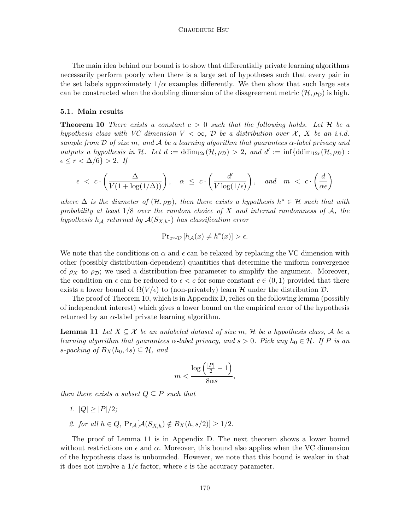The main idea behind our bound is to show that differentially private learning algorithms necessarily perform poorly when there is a large set of hypotheses such that every pair in the set labels approximately  $1/\alpha$  examples differently. We then show that such large sets can be constructed when the doubling dimension of the disagreement metric  $(\mathcal{H}, \rho_D)$  is high.

#### 5.1. Main results

<span id="page-15-0"></span>**Theorem 10** There exists a constant  $c > 0$  such that the following holds. Let H be a hypothesis class with VC dimension  $V < \infty$ , D be a distribution over X, X be an i.i.d. sample from  $\mathcal D$  of size m, and  $\mathcal A$  be a learning algorithm that guarantees  $\alpha$ -label privacy and outputs a hypothesis in H. Let  $d := \dim_{12\epsilon}(\mathcal{H}, \rho_{\mathcal{D}}) > 2$ , and  $d' := \inf\{\text{ddim}_{12r}(\mathcal{H}, \rho_{\mathcal{D}})$ :  $\epsilon \leq r < \Delta/6$ } > 2. If

$$
\epsilon \ < \ c \cdot \left(\frac{\Delta}{V(1+\log(1/\Delta))}\right), \quad \alpha \ \leq \ c \cdot \left(\frac{d'}{V\log(1/\epsilon)}\right), \quad \text{and} \quad m \ < \ c \cdot \left(\frac{d}{\alpha \epsilon}\right)
$$

where  $\Delta$  is the diameter of  $(\mathcal{H}, \rho_{\mathcal{D}})$ , then there exists a hypothesis  $h^* \in \mathcal{H}$  such that with probability at least  $1/8$  over the random choice of X and internal randomness of A, the hypothesis h<sub>A</sub> returned by  $A(S_{X,h^*})$  has classification error

$$
\Pr\nolimits_{x \sim \mathcal{D}} \left[ h_{\mathcal{A}}(x) \neq h^*(x) \right] > \epsilon.
$$

We note that the conditions on  $\alpha$  and  $\epsilon$  can be relaxed by replacing the VC dimension with other (possibly distribution-dependent) quantities that determine the uniform convergence of  $\rho_X$  to  $\rho_D$ ; we used a distribution-free parameter to simplify the argument. Moreover, the condition on  $\epsilon$  can be reduced to  $\epsilon < c$  for some constant  $c \in (0,1)$  provided that there exists a lower bound of  $\Omega(V/\epsilon)$  to (non-privately) learn H under the distribution D.

The proof of Theorem [10,](#page-15-0) which is in Appendix [D,](#page-24-1) relies on the following lemma (possibly of independent interest) which gives a lower bound on the empirical error of the hypothesis returned by an  $\alpha$ -label private learning algorithm.

**Lemma 11** Let  $X \subseteq \mathcal{X}$  be an unlabeled dataset of size m, H be a hypothesis class, A be a learning algorithm that guarantees  $\alpha$ -label privacy, and  $s > 0$ . Pick any  $h_0 \in \mathcal{H}$ . If P is an s-packing of  $B_X(h_0, 4s) \subseteq \mathcal{H}$ , and

<span id="page-15-1"></span>
$$
m < \frac{\log\left(\frac{|P|}{2} - 1\right)}{8\alpha s},
$$

then there exists a subset  $Q \subseteq P$  such that

- 1.  $|Q| \geq |P|/2$ ;
- 2. for all  $h \in Q$ ,  $\Pr_A[\mathcal{A}(S_{X,h}) \notin B_X(h, s/2)] \geq 1/2$ .

<span id="page-15-2"></span>The proof of Lemma [11](#page-15-1) is in Appendix [D.](#page-24-1) The next theorem shows a lower bound without restrictions on  $\epsilon$  and  $\alpha$ . Moreover, this bound also applies when the VC dimension of the hypothesis class is unbounded. However, we note that this bound is weaker in that it does not involve a  $1/\epsilon$  factor, where  $\epsilon$  is the accuracy parameter.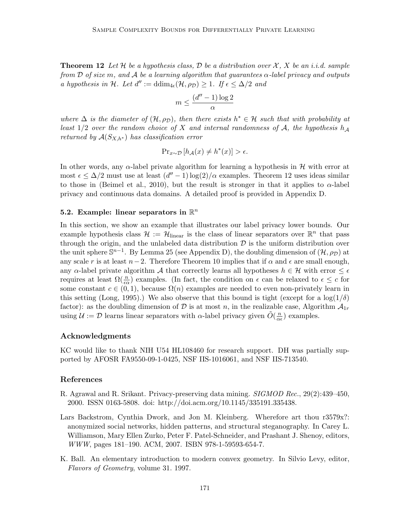**Theorem 12** Let H be a hypothesis class, D be a distribution over  $\mathcal{X}, X$  be an i.i.d. sample from D of size m, and A be a learning algorithm that guarantees  $\alpha$ -label privacy and outputs a hypothesis in H. Let  $d'':=ddim_{4\epsilon}(\mathcal{H},\rho_{\mathcal{D}})\geq 1$ . If  $\epsilon \leq \Delta/2$  and

$$
m \leq \frac{(d''-1)\log 2}{\alpha}
$$

where  $\Delta$  is the diameter of  $(\mathcal{H}, \rho_{\mathcal{D}})$ , then there exists  $h^* \in \mathcal{H}$  such that with probability at least 1/2 over the random choice of X and internal randomness of A, the hypothesis  $h_A$ returned by  $A(S_{X,h^*})$  has classification error

$$
\Pr\nolimits_{x \sim \mathcal{D}} \left[ h_{\mathcal{A}}(x) \neq h^*(x) \right] > \epsilon.
$$

In other words, any  $\alpha$ -label private algorithm for learning a hypothesis in  $\mathcal H$  with error at most  $\epsilon \leq \Delta/2$  must use at least  $(d'' - 1) \log(2)/\alpha$  examples. Theorem [12](#page-15-2) uses ideas similar to those in [\(Beimel et al., 2010\)](#page-17-6), but the result is stronger in that it applies to  $\alpha$ -label privacy and continuous data domains. A detailed proof is provided in Appendix [D.](#page-24-1)

# 5.2. Example: linear separators in  $\mathbb{R}^n$

In this section, we show an example that illustrates our label privacy lower bounds. Our example hypothesis class  $\mathcal{H} := \mathcal{H}_{\text{linear}}$  is the class of linear separators over  $\mathbb{R}^n$  that pass through the origin, and the unlabeled data distribution  $\mathcal D$  is the uniform distribution over the unit sphere  $\mathbb{S}^{n-1}$ . By Lemma [25](#page-29-0) (see Appendix [D\)](#page-24-1), the doubling dimension of  $(\mathcal{H}, \rho_{\mathcal{D}})$  at any scale r is at least  $n-2$ . Therefore Theorem [10](#page-15-0) implies that if  $\alpha$  and  $\epsilon$  are small enough, any  $\alpha$ -label private algorithm A that correctly learns all hypotheses  $h \in \mathcal{H}$  with error  $\leq \epsilon$ requires at least  $\Omega(\frac{n}{\epsilon \alpha})$  examples. (In fact, the condition on  $\epsilon$  can be relaxed to  $\epsilon \leq c$  for some constant  $c \in (0, 1)$ , because  $\Omega(n)$  examples are needed to even non-privately learn in this setting [\(Long, 1995\)](#page-18-12).) We also observe that this bound is tight (except for a  $\log(1/\delta)$ factor): as the doubling dimension of D is at most n, in the realizable case, Algorithm  $\mathcal{A}_{1r}$ using  $\mathcal{U} := \mathcal{D}$  learns linear separators with  $\alpha$ -label privacy given  $\tilde{O}(\frac{n}{\alpha})$  $\frac{n}{\alpha \epsilon}$ ) examples.

# Acknowledgments

KC would like to thank NIH U54 HL108460 for research support. DH was partially supported by AFOSR FA9550-09-1-0425, NSF IIS-1016061, and NSF IIS-713540.

## References

- <span id="page-16-1"></span>R. Agrawal and R. Srikant. Privacy-preserving data mining. SIGMOD Rec., 29(2):439–450, 2000. ISSN 0163-5808. doi: http://doi.acm.org/10.1145/335191.335438.
- <span id="page-16-0"></span>Lars Backstrom, Cynthia Dwork, and Jon M. Kleinberg. Wherefore art thou r3579x?: anonymized social networks, hidden patterns, and structural steganography. In Carey L. Williamson, Mary Ellen Zurko, Peter F. Patel-Schneider, and Prashant J. Shenoy, editors, WWW, pages 181–190. ACM, 2007. ISBN 978-1-59593-654-7.
- <span id="page-16-2"></span>K. Ball. An elementary introduction to modern convex geometry. In Silvio Levy, editor, Flavors of Geometry, volume 31. 1997.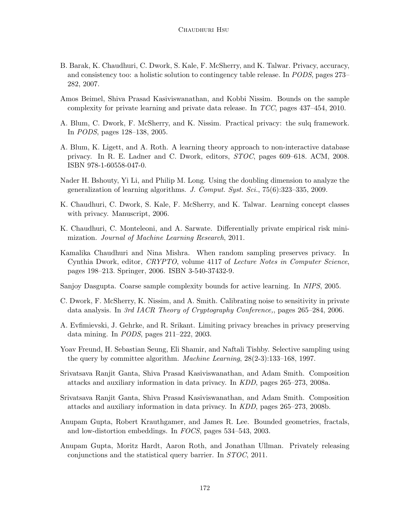- <span id="page-17-9"></span>B. Barak, K. Chaudhuri, C. Dwork, S. Kale, F. McSherry, and K. Talwar. Privacy, accuracy, and consistency too: a holistic solution to contingency table release. In PODS, pages 273– 282, 2007.
- <span id="page-17-6"></span>Amos Beimel, Shiva Prasad Kasiviswanathan, and Kobbi Nissim. Bounds on the sample complexity for private learning and private data release. In TCC, pages 437–454, 2010.
- <span id="page-17-11"></span>A. Blum, C. Dwork, F. McSherry, and K. Nissim. Practical privacy: the sulq framework. In PODS, pages 128–138, 2005.
- <span id="page-17-5"></span>A. Blum, K. Ligett, and A. Roth. A learning theory approach to non-interactive database privacy. In R. E. Ladner and C. Dwork, editors, STOC, pages 609–618. ACM, 2008. ISBN 978-1-60558-047-0.
- <span id="page-17-2"></span>Nader H. Bshouty, Yi Li, and Philip M. Long. Using the doubling dimension to analyze the generalization of learning algorithms. J. Comput. Syst. Sci., 75(6):323–335, 2009.
- <span id="page-17-0"></span>K. Chaudhuri, C. Dwork, S. Kale, F. McSherry, and K. Talwar. Learning concept classes with privacy. Manuscript, 2006.
- <span id="page-17-12"></span>K. Chaudhuri, C. Monteleoni, and A. Sarwate. Differentially private empirical risk minimization. Journal of Machine Learning Research, 2011.
- <span id="page-17-8"></span>Kamalika Chaudhuri and Nina Mishra. When random sampling preserves privacy. In Cynthia Dwork, editor, CRYPTO, volume 4117 of Lecture Notes in Computer Science, pages 198–213. Springer, 2006. ISBN 3-540-37432-9.

<span id="page-17-3"></span>Sanjoy Dasgupta. Coarse sample complexity bounds for active learning. In NIPS, 2005.

- <span id="page-17-1"></span>C. Dwork, F. McSherry, K. Nissim, and A. Smith. Calibrating noise to sensitivity in private data analysis. In 3rd IACR Theory of Cryptography Conference,, pages 265–284, 2006.
- <span id="page-17-13"></span>A. Evfimievski, J. Gehrke, and R. Srikant. Limiting privacy breaches in privacy preserving data mining. In PODS, pages 211–222, 2003.
- <span id="page-17-4"></span>Yoav Freund, H. Sebastian Seung, Eli Shamir, and Naftali Tishby. Selective sampling using the query by committee algorithm. Machine Learning, 28(2-3):133–168, 1997.
- <span id="page-17-14"></span>Srivatsava Ranjit Ganta, Shiva Prasad Kasiviswanathan, and Adam Smith. Composition attacks and auxiliary information in data privacy. In KDD, pages 265–273, 2008a.
- <span id="page-17-7"></span>Srivatsava Ranjit Ganta, Shiva Prasad Kasiviswanathan, and Adam Smith. Composition attacks and auxiliary information in data privacy. In KDD, pages 265–273, 2008b.
- <span id="page-17-15"></span>Anupam Gupta, Robert Krauthgamer, and James R. Lee. Bounded geometries, fractals, and low-distortion embeddings. In FOCS, pages 534–543, 2003.
- <span id="page-17-10"></span>Anupam Gupta, Moritz Hardt, Aaron Roth, and Jonathan Ullman. Privately releasing conjunctions and the statistical query barrier. In STOC, 2011.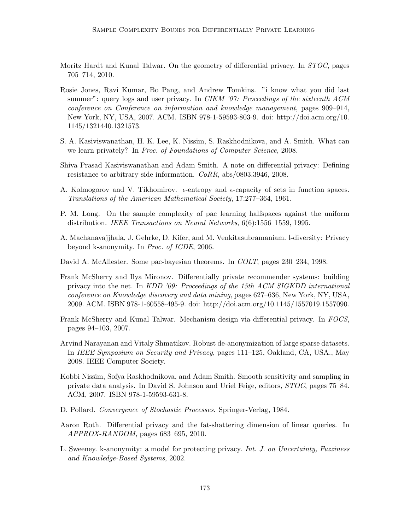- <span id="page-18-9"></span>Moritz Hardt and Kunal Talwar. On the geometry of differential privacy. In STOC, pages 705–714, 2010.
- <span id="page-18-4"></span>Rosie Jones, Ravi Kumar, Bo Pang, and Andrew Tomkins. "i know what you did last summer": query logs and user privacy. In CIKM '07: Proceedings of the sixteenth ACM conference on Conference on information and knowledge management, pages 909–914, New York, NY, USA, 2007. ACM. ISBN 978-1-59593-803-9. doi: http://doi.acm.org/10. 1145/1321440.1321573.
- <span id="page-18-0"></span>S. A. Kasiviswanathan, H. K. Lee, K. Nissim, S. Raskhodnikova, and A. Smith. What can we learn privately? In Proc. of Foundations of Computer Science, 2008.
- <span id="page-18-5"></span>Shiva Prasad Kasiviswanathan and Adam Smith. A note on differential privacy: Defining resistance to arbitrary side information. CoRR, abs/0803.3946, 2008.
- <span id="page-18-13"></span>A. Kolmogorov and V. Tikhomirov.  $\epsilon$ -entropy and  $\epsilon$ -capacity of sets in function spaces. Translations of the American Mathematical Society, 17:277–364, 1961.
- <span id="page-18-12"></span>P. M. Long. On the sample complexity of pac learning halfspaces against the uniform distribution. IEEE Transactions on Neural Networks, 6(6):1556–1559, 1995.
- <span id="page-18-11"></span>A. Machanavajjhala, J. Gehrke, D. Kifer, and M. Venkitasubramaniam. l-diversity: Privacy beyond k-anonymity. In Proc. of ICDE, 2006.
- <span id="page-18-1"></span>David A. McAllester. Some pac-bayesian theorems. In COLT, pages 230–234, 1998.
- <span id="page-18-7"></span>Frank McSherry and Ilya Mironov. Differentially private recommender systems: building privacy into the net. In KDD '09: Proceedings of the 15th ACM SIGKDD international conference on Knowledge discovery and data mining, pages 627–636, New York, NY, USA, 2009. ACM. ISBN 978-1-60558-495-9. doi: http://doi.acm.org/10.1145/1557019.1557090.
- <span id="page-18-2"></span>Frank McSherry and Kunal Talwar. Mechanism design via differential privacy. In FOCS, pages 94–103, 2007.
- <span id="page-18-3"></span>Arvind Narayanan and Vitaly Shmatikov. Robust de-anonymization of large sparse datasets. In IEEE Symposium on Security and Privacy, pages 111–125, Oakland, CA, USA., May 2008. IEEE Computer Society.
- <span id="page-18-6"></span>Kobbi Nissim, Sofya Raskhodnikova, and Adam Smith. Smooth sensitivity and sampling in private data analysis. In David S. Johnson and Uriel Feige, editors, STOC, pages 75–84. ACM, 2007. ISBN 978-1-59593-631-8.
- <span id="page-18-14"></span>D. Pollard. Convergence of Stochastic Processes. Springer-Verlag, 1984.
- <span id="page-18-8"></span>Aaron Roth. Differential privacy and the fat-shattering dimension of linear queries. In APPROX-RANDOM, pages 683–695, 2010.
- <span id="page-18-10"></span>L. Sweeney. k-anonymity: a model for protecting privacy. Int. J. on Uncertainty, Fuzziness and Knowledge-Based Systems, 2002.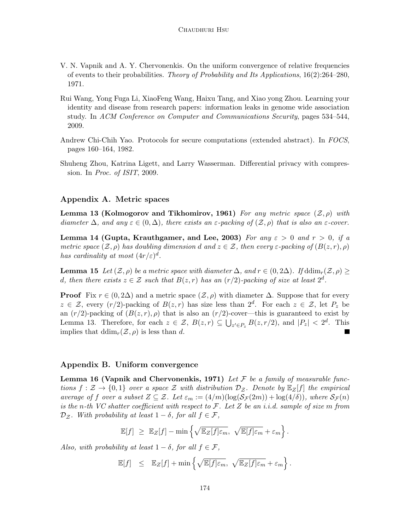- <span id="page-19-4"></span>V. N. Vapnik and A. Y. Chervonenkis. On the uniform convergence of relative frequencies of events to their probabilities. Theory of Probability and Its Applications, 16(2):264–280, 1971.
- <span id="page-19-1"></span>Rui Wang, Yong Fuga Li, XiaoFeng Wang, Haixu Tang, and Xiao yong Zhou. Learning your identity and disease from research papers: information leaks in genome wide association study. In ACM Conference on Computer and Communications Security, pages 534–544, 2009.
- <span id="page-19-2"></span>Andrew Chi-Chih Yao. Protocols for secure computations (extended abstract). In FOCS, pages 160–164, 1982.
- <span id="page-19-0"></span>Shuheng Zhou, Katrina Ligett, and Larry Wasserman. Differential privacy with compression. In Proc. of ISIT, 2009.

# Appendix A. Metric spaces

<span id="page-19-3"></span>Lemma 13 [\(Kolmogorov and Tikhomirov, 1961\)](#page-18-13) For any metric space  $(\mathcal{Z}, \rho)$  with diameter  $\Delta$ , and any  $\varepsilon \in (0, \Delta)$ , there exists an  $\varepsilon$ -packing of  $(\mathcal{Z}, \rho)$  that is also an  $\varepsilon$ -cover.

<span id="page-19-6"></span>Lemma 14 [\(Gupta, Krauthgamer, and Lee, 2003\)](#page-17-15) For any  $\varepsilon > 0$  and  $r > 0$ , if a metric space  $(\mathcal{Z}, \rho)$  has doubling dimension d and  $z \in \mathcal{Z}$ , then every  $\varepsilon$ -packing of  $(B(z, r), \rho)$ has cardinality at most  $(4r/\varepsilon)^d$ .

<span id="page-19-8"></span>**Lemma 15** Let  $(\mathcal{Z}, \rho)$  be a metric space with diameter  $\Delta$ , and  $r \in (0, 2\Delta)$ . If  $\text{ddim}_{r}(\mathcal{Z}, \rho) \geq$ d, then there exists  $z \in \mathcal{Z}$  such that  $B(z,r)$  has an  $(r/2)$ -packing of size at least  $2^d$ .

**Proof** Fix  $r \in (0, 2\Delta)$  and a metric space  $(\mathcal{Z}, \rho)$  with diameter  $\Delta$ . Suppose that for every  $z \in \mathcal{Z}$ , every  $(r/2)$ -packing of  $B(z,r)$  has size less than  $2^d$ . For each  $z \in \mathcal{Z}$ , let  $P_z$  be an  $(r/2)$ -packing of  $(B(z, r), \rho)$  that is also an  $(r/2)$ -cover—this is guaranteed to exist by Lemma [13.](#page-19-3) Therefore, for each  $z \in \mathcal{Z}$ ,  $B(z,r) \subseteq \bigcup_{z' \in P_z} B(z,r/2)$ , and  $|P_z| < 2^d$ . This implies that  $\text{ddim}_{r}(\mathcal{Z}, \rho)$  is less than d.

# Appendix B. Uniform convergence

<span id="page-19-5"></span>**Lemma 16 [\(Vapnik and Chervonenkis, 1971\)](#page-19-4)** Let  $\mathcal F$  be a family of measurable functions  $f : \mathcal{Z} \to \{0,1\}$  over a space  $\mathcal{Z}$  with distribution  $\mathcal{D}_{\mathcal{Z}}$ . Denote by  $\mathbb{E}_{\mathcal{Z}}[f]$  the empirical average of f over a subset  $Z \subseteq \mathcal{Z}$ . Let  $\varepsilon_m := (4/m)(\log(\mathcal{S}_{\mathcal{F}}(2m)) + \log(4/\delta))$ , where  $\mathcal{S}_{\mathcal{F}}(n)$ is the n-th VC shatter coefficient with respect to  $\mathcal{F}$ . Let Z be an i.i.d. sample of size m from  $\mathcal{D}_{\mathcal{Z}}$ . With probability at least  $1 - \delta$ , for all  $f \in \mathcal{F}$ ,

$$
\mathbb{E}[f] \geq \mathbb{E}_Z[f] - \min \left\{ \sqrt{\mathbb{E}_Z[f]\varepsilon_m}, \sqrt{\mathbb{E}[f]\varepsilon_m} + \varepsilon_m \right\}.
$$

<span id="page-19-7"></span>Also, with probability at least  $1 - \delta$ , for all  $f \in \mathcal{F}$ ,

$$
\mathbb{E}[f] \leq \mathbb{E}_Z[f] + \min \left\{ \sqrt{\mathbb{E}[f]\varepsilon_m}, \sqrt{\mathbb{E}_Z[f]\varepsilon_m} + \varepsilon_m \right\}.
$$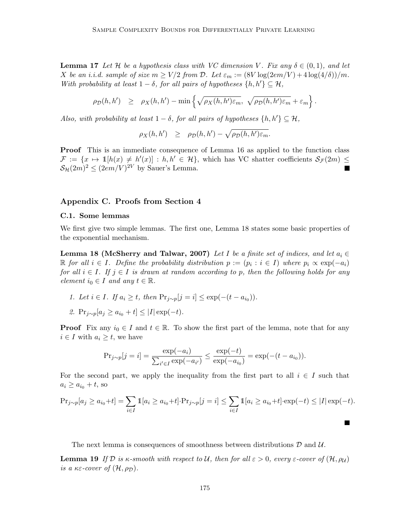**Lemma 17** Let H be a hypothesis class with VC dimension V. Fix any  $\delta \in (0,1)$ , and let X be an i.i.d. sample of size  $m \geq V/2$  from D. Let  $\varepsilon_m := (8V \log(2em/V) + 4 \log(4/\delta))/m$ . With probability at least  $1 - \delta$ , for all pairs of hypotheses  $\{h, h'\} \subseteq \mathcal{H}$ ,

$$
\rho_{\mathcal{D}}(h, h') \geq \rho_X(h, h') - \min \left\{ \sqrt{\rho_X(h, h') \varepsilon_m}, \sqrt{\rho_{\mathcal{D}}(h, h') \varepsilon_m} + \varepsilon_m \right\}.
$$

Also, with probability at least  $1 - \delta$ , for all pairs of hypotheses  $\{h, h'\} \subseteq \mathcal{H}$ ,

$$
\rho_X(h, h') \geq \rho_D(h, h') - \sqrt{\rho_D(h, h') \varepsilon_m}.
$$

Proof This is an immediate consequence of Lemma [16](#page-19-5) as applied to the function class  $\mathcal{F} := \{x \mapsto \mathbb{1}[h(x) \neq h'(x)] : h, h' \in \mathcal{H}\},\$  which has VC shatter coefficients  $\mathcal{S}_{\mathcal{F}}(2m) \leq$  $\mathcal{S}_{\mathcal{H}}(2m)^2 \leq (2em/V)^{2V}$  by Sauer's Lemma.  $\blacksquare$ 

#### <span id="page-20-0"></span>Appendix C. Proofs from Section [4](#page-10-0)

#### C.1. Some lemmas

We first give two simple lemmas. The first one, Lemma [18](#page-20-1) states some basic properties of the exponential mechanism.

<span id="page-20-1"></span>Lemma 18 [\(McSherry and Talwar, 2007\)](#page-18-2) Let I be a finite set of indices, and let  $a_i \in$ R for all  $i \in I$ . Define the probability distribution  $p := (p_i : i \in I)$  where  $p_i \propto \exp(-a_i)$ for all  $i \in I$ . If  $j \in I$  is drawn at random according to p, then the following holds for any element  $i_0 \in I$  and any  $t \in \mathbb{R}$ .

- 1. Let  $i \in I$ . If  $a_i \ge t$ , then  $Pr_{j \sim p}[j = i] \le \exp(-(t a_{i_0}))$ .
- 2. Pr<sub>j∼p</sub>[ $a_j \ge a_{i_0} + t$ ]  $\le |I| \exp(-t)$ .

**Proof** Fix any  $i_0 \in I$  and  $t \in \mathbb{R}$ . To show the first part of the lemma, note that for any  $i \in I$  with  $a_i \geq t$ , we have

$$
Pr_{j \sim p}[j = i] = \frac{\exp(-a_i)}{\sum_{i' \in I} \exp(-a_{i'})} \le \frac{\exp(-t)}{\exp(-a_{i_0})} = \exp(-(t - a_{i_0})).
$$

For the second part, we apply the inequality from the first part to all  $i \in I$  such that  $a_i \geq a_{i_0} + t$ , so

$$
\Pr_{j \sim p}[a_j \ge a_{i_0} + t] = \sum_{i \in I} \mathbb{1}[a_i \ge a_{i_0} + t] \cdot \Pr_{j \sim p}[j = i] \le \sum_{i \in I} \mathbb{1}[a_i \ge a_{i_0} + t] \cdot \exp(-t) \le |I| \exp(-t).
$$

<span id="page-20-2"></span> $\blacksquare$ 

The next lemma is consequences of smoothness between distributions  $\mathcal D$  and  $\mathcal U$ .

**Lemma 19** If D is  $\kappa$ -smooth with respect to U, then for all  $\epsilon > 0$ , every  $\epsilon$ -cover of  $(\mathcal{H}, \rho_{\mathcal{U}})$ is a  $\kappa \varepsilon$ -cover of  $(\mathcal{H}, \rho_{\mathcal{D}})$ .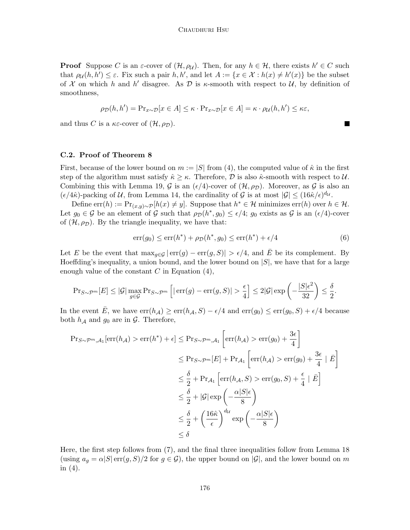**Proof** Suppose C is an  $\varepsilon$ -cover of  $(\mathcal{H}, \rho_{\mathcal{U}})$ . Then, for any  $h \in \mathcal{H}$ , there exists  $h' \in C$  such that  $\rho_{\mathcal{U}}(h, h') \leq \varepsilon$ . Fix such a pair h, h', and let  $A := \{x \in \mathcal{X} : h(x) \neq h'(x)\}\$  be the subset of X on which h and h' disagree. As D is  $\kappa$ -smooth with respect to U, by definition of smoothness,

$$
\rho_{\mathcal{D}}(h, h') = \Pr_{x \sim \mathcal{D}}[x \in A] \leq \kappa \cdot \Pr_{x \sim \mathcal{D}}[x \in A] = \kappa \cdot \rho_{\mathcal{U}}(h, h') \leq \kappa \varepsilon,
$$

and thus C is a  $\kappa \varepsilon$ -cover of  $(\mathcal{H}, \rho_{\mathcal{D}})$ .

#### C.2. Proof of Theorem [8](#page-12-1)

First, because of the lower bound on  $m := |S|$  from [\(4\)](#page-12-3), the computed value of  $\hat{\kappa}$  in the first step of the algorithm must satisfy  $\hat{\kappa} \geq \kappa$ . Therefore,  $\mathcal{D}$  is also  $\hat{\kappa}$ -smooth with respect to  $\mathcal{U}$ . Combining this with Lemma [19,](#page-20-2) G is an  $(\epsilon/4)$ -cover of  $(\mathcal{H}, \rho_{\mathcal{D}})$ . Moreover, as G is also an  $(\epsilon/4\hat{\kappa})$ -packing of U, from Lemma [14,](#page-19-6) the cardinality of G is at most  $|\mathcal{G}| \leq (16\hat{\kappa}/\epsilon)^{d_{\mathcal{U}}}$ .

Define  $\text{err}(h) := \Pr_{(x,y)\sim \mathcal{P}}[h(x) \neq y]$ . Suppose that  $h^* \in \mathcal{H}$  minimizes  $\text{err}(h)$  over  $h \in \mathcal{H}$ . Let  $g_0 \in \mathcal{G}$  be an element of  $\mathcal G$  such that  $\rho_{\mathcal D}(h^*, g_0) \leq \epsilon/4$ ;  $g_0$  exists as  $\mathcal G$  is an  $(\epsilon/4)$ -cover of  $(\mathcal{H}, \rho_{\mathcal{D}})$ . By the triangle inequality, we have that:

$$
err(g_0) \le err(h^*) + \rho_{\mathcal{D}}(h^*, g_0) \le err(h^*) + \epsilon/4 \tag{6}
$$

Let E be the event that  $\max_{q \in \mathcal{G}} | \text{err}(g) - \text{err}(g, S) | > \epsilon/4$ , and E be its complement. By Hoeffding's inequality, a union bound, and the lower bound on  $|S|$ , we have that for a large enough value of the constant  $C$  in Equation  $(4)$ ,

$$
\Pr_{S \sim \mathcal{P}^m}[E] \leq |\mathcal{G}| \max_{g \in \mathcal{G}} \Pr_{S \sim \mathcal{P}^m} \left[ |\operatorname{err}(g) - \operatorname{err}(g, S)| > \frac{\epsilon}{4} \right] \leq 2|\mathcal{G}| \exp\left(-\frac{|S|\epsilon^2}{32}\right) \leq \frac{\delta}{2}.
$$

In the event E, we have  $err(h_{\mathcal{A}}) \geq err(h_{\mathcal{A}}, S) - \epsilon/4$  and  $err(g_0) \leq err(g_0, S) + \epsilon/4$  because both  $h_{\mathcal{A}}$  and  $g_0$  are in  $\mathcal{G}$ . Therefore,

$$
\begin{aligned} \Pr_{S \sim \mathcal{P}^m, \mathcal{A}_1}[\text{err}(h_{\mathcal{A}}) > \text{err}(h^*) + \epsilon] &\leq \Pr_{S \sim \mathcal{P}^m, \mathcal{A}_1} \left[ \text{err}(h_{\mathcal{A}}) > \text{err}(g_0) + \frac{3\epsilon}{4} \right] \\ &\leq \Pr_{S \sim \mathcal{P}^m}[E] + \Pr_{\mathcal{A}_1} \left[ \text{err}(h_{\mathcal{A}}) > \text{err}(g_0) + \frac{3\epsilon}{4} \mid \bar{E} \right] \\ &\leq \frac{\delta}{2} + \Pr_{\mathcal{A}_1} \left[ \text{err}(h_{\mathcal{A}}, S) > \text{err}(g_0, S) + \frac{\epsilon}{4} \mid \bar{E} \right] \\ &\leq \frac{\delta}{2} + |\mathcal{G}| \exp\left( -\frac{\alpha |S|\epsilon}{8} \right) \\ &\leq \frac{\delta}{2} + \left( \frac{16\hat{\kappa}}{\epsilon} \right)^{d_{\mathcal{U}}} \exp\left( -\frac{\alpha |S|\epsilon}{8} \right) \\ &\leq \delta \end{aligned}
$$

Here, the first step follows from [\(7\)](#page-22-0), and the final three inequalities follow from Lemma [18](#page-20-1) (using  $a_g = \alpha |S| \text{err}(g, S)/2$  for  $g \in \mathcal{G}$ ), the upper bound on  $|\mathcal{G}|$ , and the lower bound on m in  $(4)$ .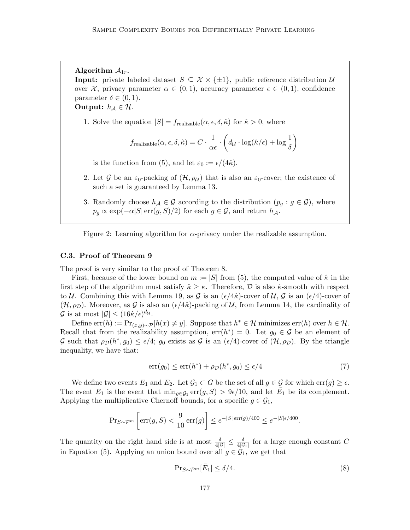Algorithm  $A_{1r}$ .

**Input:** private labeled dataset  $S \subseteq \mathcal{X} \times \{\pm 1\}$ , public reference distribution  $\mathcal{U}$ over X, privacy parameter  $\alpha \in (0,1)$ , accuracy parameter  $\epsilon \in (0,1)$ , confidence parameter  $\delta \in (0,1)$ .

Output:  $h_{\mathcal{A}} \in \mathcal{H}$ .

1. Solve the equation  $|S| = f_{\text{realizable}}(\alpha, \epsilon, \delta, \hat{\kappa})$  for  $\hat{\kappa} > 0$ , where

$$
f_{\text{realizable}}(\alpha, \epsilon, \delta, \hat{\kappa}) = C \cdot \frac{1}{\alpha \epsilon} \cdot \left(d_{\mathcal{U}} \cdot \log(\hat{\kappa}/\epsilon) + \log \frac{1}{\delta}\right)
$$

is the function from [\(5\)](#page-13-0), and let  $\varepsilon_0 := \epsilon/(4\hat{\kappa})$ .

- 2. Let G be an  $\varepsilon_0$ -packing of  $(\mathcal{H}, \rho_{\mathcal{U}})$  that is also an  $\varepsilon_0$ -cover; the existence of such a set is guaranteed by Lemma [13.](#page-19-3)
- 3. Randomly choose  $h_{\mathcal{A}} \in \mathcal{G}$  according to the distribution  $(p_q : g \in \mathcal{G})$ , where  $p_g \propto \exp(-\alpha |S| \operatorname{err}(g, S)/2)$  for each  $g \in \mathcal{G}$ , and return  $h_{\mathcal{A}}$ .

Figure 2: Learning algorithm for  $\alpha$ -privacy under the realizable assumption.

#### C.3. Proof of Theorem [9](#page-12-2)

The proof is very similar to the proof of Theorem [8.](#page-12-1)

First, because of the lower bound on  $m := |S|$  from [\(5\)](#page-13-0), the computed value of  $\hat{\kappa}$  in the first step of the algorithm must satisfy  $\hat{\kappa} \geq \kappa$ . Therefore,  $\hat{\mathcal{D}}$  is also  $\hat{\kappa}$ -smooth with respect to U. Combining this with Lemma [19,](#page-20-2) as G is an  $(\epsilon/4\hat{\kappa})$ -cover of U, G is an  $(\epsilon/4)$ -cover of  $(\mathcal{H}, \rho_D)$ . Moreover, as G is also an  $(\epsilon/4\hat{\kappa})$ -packing of U, from Lemma [14,](#page-19-6) the cardinality of  $\mathcal{G}$  is at most  $|\mathcal{G}| \leq (16\hat{\kappa}/\epsilon)^{d_{\mathcal{U}}}$ .

Define  $\text{err}(h) := \Pr_{(x,y)\sim \mathcal{P}}[h(x) \neq y]$ . Suppose that  $h^* \in \mathcal{H}$  minimizes  $\text{err}(h)$  over  $h \in \mathcal{H}$ . Recall that from the realizability assumption,  $err(h^*) = 0$ . Let  $g_0 \in \mathcal{G}$  be an element of G such that  $\rho_{\mathcal{D}}(h^*, g_0) \leq \epsilon/4$ ;  $g_0$  exists as G is an  $(\epsilon/4)$ -cover of  $(\mathcal{H}, \rho_{\mathcal{D}})$ . By the triangle inequality, we have that:

<span id="page-22-0"></span>
$$
err(g_0) \le err(h^*) + \rho_{\mathcal{D}}(h^*, g_0) \le \epsilon/4 \tag{7}
$$

We define two events  $E_1$  and  $E_2$ . Let  $\mathcal{G}_1 \subset G$  be the set of all  $g \in \mathcal{G}$  for which  $err(g) \geq \epsilon$ . The event  $E_1$  is the event that  $\min_{g \in \mathcal{G}_1} \text{err}(g, S) > 9\epsilon/10$ , and let  $\overline{E}_1$  be its complement. Applying the multiplicative Chernoff bounds, for a specific  $g \in \mathcal{G}_1$ ,

$$
\mathrm{Pr}_{S \sim \mathcal{P}^m} \left[ \mathrm{err}(g, S) < \frac{9}{10} \, \mathrm{err}(g) \right] \le e^{-|S| \, \mathrm{err}(g)/400} \le e^{-|S| \epsilon/400}
$$

The quantity on the right hand side is at most  $\frac{\delta}{4|\mathcal{G}|} \leq \frac{\delta}{4|\mathcal{G}|}$  $\frac{\delta}{4|\mathcal{G}_1|}$  for a large enough constant C in Equation [\(5\)](#page-13-0). Applying an union bound over all  $g \in \mathcal{G}_1$ , we get that

<span id="page-22-1"></span>
$$
\Pr_{S \sim \mathcal{P}^m} [\bar{E}_1] \le \delta/4. \tag{8}
$$

.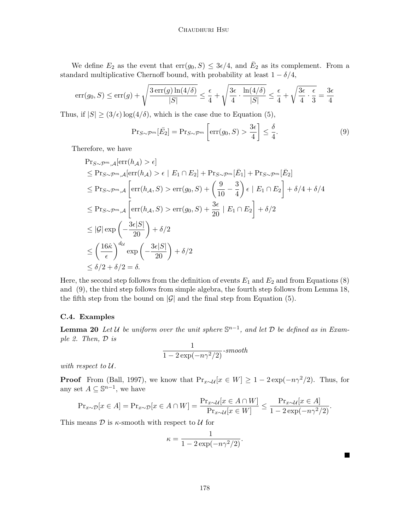We define  $E_2$  as the event that  $\text{err}(g_0, S) \leq 3\epsilon/4$ , and  $\overline{E}_2$  as its complement. From a standard multiplicative Chernoff bound, with probability at least  $1 - \delta/4$ ,

$$
err(g_0, S) \le err(g) + \sqrt{\frac{3\operatorname{err}(g)\ln(4/\delta)}{|S|}} \le \frac{\epsilon}{4} + \sqrt{\frac{3\epsilon}{4} \cdot \frac{\ln(4/\delta)}{|S|}} \le \frac{\epsilon}{4} + \sqrt{\frac{3\epsilon}{4} \cdot \frac{\epsilon}{3}} = \frac{3\epsilon}{4}
$$

Thus, if  $|S| \geq (3/\epsilon) \log(4/\delta)$ , which is the case due to Equation [\(5\)](#page-13-0),

<span id="page-23-2"></span>
$$
\Pr_{S \sim \mathcal{P}^m}[\bar{E}_2] = \Pr_{S \sim \mathcal{P}^m} \left[ \text{err}(g_0, S) > \frac{3\epsilon}{4} \right] \le \frac{\delta}{4}.\tag{9}
$$

Therefore, we have

$$
\begin{split}\n\Pr_{S \sim \mathcal{P}^m, \mathcal{A}}[\text{err}(h_{\mathcal{A}}) > \epsilon] \\
&\leq \Pr_{S \sim \mathcal{P}^m, \mathcal{A}}[\text{err}(h_{\mathcal{A}}) > \epsilon \mid E_1 \cap E_2] + \Pr_{S \sim \mathcal{P}^m}[\bar{E}_1] + \Pr_{S \sim \mathcal{P}^m}[\bar{E}_2] \\
&\leq \Pr_{S \sim \mathcal{P}^m, \mathcal{A}}\left[\text{err}(h_{\mathcal{A}}, S) > \text{err}(g_0, S) + \left(\frac{9}{10} - \frac{3}{4}\right) \epsilon \mid E_1 \cap E_2\right] + \delta/4 + \delta/4 \\
&\leq \Pr_{S \sim \mathcal{P}^m, \mathcal{A}}\left[\text{err}(h_{\mathcal{A}}, S) > \text{err}(g_0, S) + \frac{3\epsilon}{20} \mid E_1 \cap E_2\right] + \delta/2 \\
&\leq |\mathcal{G}| \exp\left(-\frac{3\epsilon|S|}{20}\right) + \delta/2 \\
&\leq \left(\frac{16\hat{\kappa}}{\epsilon}\right)^{d_{\mathcal{U}}} \exp\left(-\frac{3\epsilon|S|}{20}\right) + \delta/2 \\
&\leq \delta/2 + \delta/2 = \delta.\n\end{split}
$$

Here, the second step follows from the definition of events  $E_1$  and  $E_2$  and from Equations [\(8\)](#page-22-1) and [\(9\)](#page-23-2), the third step follows from simple algebra, the fourth step follows from Lemma [18,](#page-20-1) the fifth step from the bound on  $|\mathcal{G}|$  and the final step from Equation [\(5\)](#page-13-0).

# C.4. Examples

<span id="page-23-0"></span>**Lemma 20** Let U be uniform over the unit sphere  $\mathbb{S}^{n-1}$ , and let D be defined as in Example [2.](#page-14-1) Then, D is

$$
\frac{1}{1-2\exp(-n\gamma^2/2)}\text{-}smooth
$$

with respect to U.

**Proof** From [\(Ball, 1997\)](#page-16-2), we know that  $Pr_{x\sim\mathcal{U}}[x \in W] \ge 1 - 2 \exp(-n\gamma^2/2)$ . Thus, for any set  $A \subseteq \mathbb{S}^{n-1}$ , we have

$$
\Pr_{x \sim \mathcal{D}}[x \in A] = \Pr_{x \sim \mathcal{D}}[x \in A \cap W] = \frac{\Pr_{x \sim \mathcal{U}}[x \in A \cap W]}{\Pr_{x \sim \mathcal{U}}[x \in W]} \le \frac{\Pr_{x \sim \mathcal{U}}[x \in A]}{1 - 2\exp(-n\gamma^2/2)}.
$$

<span id="page-23-1"></span>This means  $\mathcal D$  is  $\kappa$ -smooth with respect to  $\mathcal U$  for

$$
\kappa = \frac{1}{1 - 2\exp(-n\gamma^2/2)}.
$$

 $\blacksquare$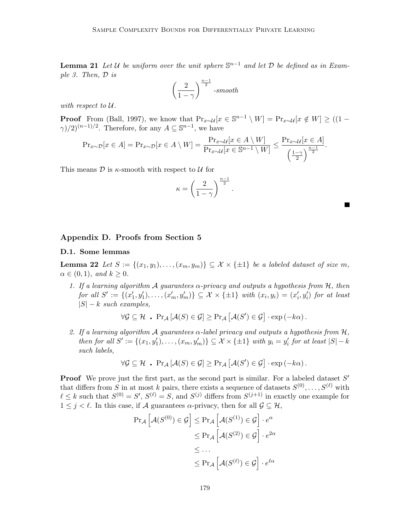**Lemma 21** Let U be uniform over the unit sphere  $\mathbb{S}^{n-1}$  and let D be defined as in Example [3.](#page-14-2) Then, D is

$$
\left(\frac{2}{1-\gamma}\right)^{\frac{n-1}{2}}\text{-smooth}
$$

with respect to U.

**Proof** From [\(Ball, 1997\)](#page-16-2), we know that  $Pr_{x \sim \mathcal{U}}[x \in \mathbb{S}^{n-1} \setminus W] = Pr_{x \sim \mathcal{U}}[x \notin W] \geq ((1 - \mathbb{S}^{n-1})^2)$  $(\gamma)/2)^{(n-1)/2}$ . Therefore, for any  $A \subseteq \mathbb{S}^{n-1}$ , we have

$$
\Pr\nolimits_{x\sim\mathcal{D}}[x\in A] = \Pr\nolimits_{x\sim\mathcal{D}}[x\in A\setminus W] = \frac{\Pr\nolimits_{x\sim\mathcal{U}}[x\in A\setminus W]}{\Pr\nolimits_{x\sim\mathcal{U}}[x\in\mathbb{S}^{n-1}\setminus W]} \le \frac{\Pr\nolimits_{x\sim\mathcal{U}}[x\in A]}{\left(\frac{1-\gamma}{2}\right)^{\frac{n-1}{2}}}.
$$

This means  $\mathcal D$  is  $\kappa$ -smooth with respect to  $\mathcal U$  for

$$
\kappa = \left(\frac{2}{1-\gamma}\right)^{\frac{n-1}{2}}.
$$

П

#### <span id="page-24-1"></span>Appendix D. Proofs from Section [5](#page-14-0)

#### D.1. Some lemmas

<span id="page-24-0"></span>**Lemma 22** Let  $S := \{(x_1, y_1), \ldots, (x_m, y_m)\} \subseteq \mathcal{X} \times \{\pm 1\}$  be a labeled dataset of size m,  $\alpha \in (0,1)$ , and  $k \geq 0$ .

1. If a learning algorithm A guarantees  $\alpha$ -privacy and outputs a hypothesis from H, then  $for \ all \ S' := \{(x'_1, y'_1), \ldots, (x'_m, y'_m)\} \subseteq \mathcal{X} \times \{\pm 1\} \ with \ (x_i, y_i) = (x'_i, y'_i) \ for \ at \ least$  $|S| - k$  such examples,

$$
\forall \mathcal{G} \subseteq \mathcal{H} \text{ . } \Pr_{\mathcal{A}}\left[\mathcal{A}(S) \in \mathcal{G}\right] \geq \Pr_{\mathcal{A}}\left[\mathcal{A}(S') \in \mathcal{G}\right] \cdot \exp(-k\alpha).
$$

2. If a learning algorithm A guarantees  $\alpha$ -label privacy and outputs a hypothesis from  $\mathcal{H}$ , then for all  $S' := \{(x_1, y_1'), \ldots, (x_m, y_m')\} \subseteq \mathcal{X} \times \{\pm 1\}$  with  $y_i = y_i'$  for at least  $|S| - k$ such labels,

$$
\forall \mathcal{G} \subseteq \mathcal{H} \text{ . } \Pr_{\mathcal{A}}\left[\mathcal{A}(S) \in \mathcal{G}\right] \geq \Pr_{\mathcal{A}}\left[\mathcal{A}(S') \in \mathcal{G}\right] \cdot \exp(-k\alpha).
$$

**Proof** We prove just the first part, as the second part is similar. For a labeled dataset  $S'$ that differs from S in at most k pairs, there exists a sequence of datasets  $S^{(0)}, \ldots, S^{(\ell)}$  with  $\ell \leq k$  such that  $S^{(0)} = S'$ ,  $S^{(\ell)} = S$ , and  $S^{(j)}$  differs from  $S^{(j+1)}$  in exactly one example for  $1 \leq j \leq \ell$ . In this case, if A guarantees  $\alpha$ -privacy, then for all  $\mathcal{G} \subseteq \mathcal{H}$ ,

$$
\Pr_{\mathcal{A}}\left[\mathcal{A}(S^{(0)}) \in \mathcal{G}\right] \le \Pr_{\mathcal{A}}\left[\mathcal{A}(S^{(1)}) \in \mathcal{G}\right] \cdot e^{\alpha}
$$

$$
\le \Pr_{\mathcal{A}}\left[\mathcal{A}(S^{(2)}) \in \mathcal{G}\right] \cdot e^{2\alpha}
$$

$$
\le \dots
$$

$$
\le \Pr_{\mathcal{A}}\left[\mathcal{A}(S^{(\ell)}) \in \mathcal{G}\right] \cdot e^{\ell\alpha}
$$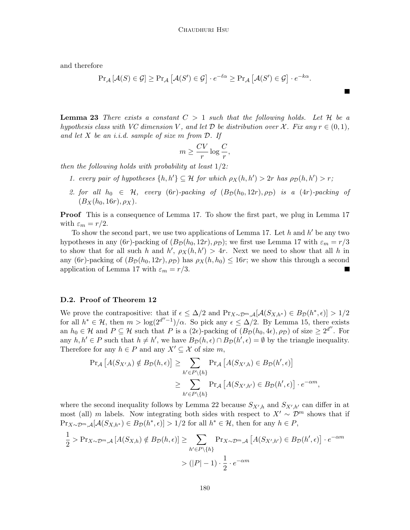and therefore

$$
\Pr_{\mathcal{A}}\left[\mathcal{A}(S) \in \mathcal{G}\right] \geq \Pr_{\mathcal{A}}\left[\mathcal{A}(S') \in \mathcal{G}\right] \cdot e^{-\ell\alpha} \geq \Pr_{\mathcal{A}}\left[\mathcal{A}(S') \in \mathcal{G}\right] \cdot e^{-k\alpha}.
$$

<span id="page-25-0"></span>**Lemma 23** There exists a constant  $C > 1$  such that the following holds. Let H be a hypothesis class with VC dimension V, and let  $\mathcal D$  be distribution over X. Fix any  $r \in (0,1)$ , and let  $X$  be an i.i.d. sample of size  $m$  from  $D$ . If

$$
m \ge \frac{CV}{r} \log \frac{C}{r},
$$

then the following holds with probability at least  $1/2$ :

- 1. every pair of hypotheses  $\{h, h'\} \subseteq \mathcal{H}$  for which  $\rho_X(h, h') > 2r$  has  $\rho_{\mathcal{D}}(h, h') > r$ ;
- 2. for all  $h_0 \in \mathcal{H}$ , every (6r)-packing of  $(B_{\mathcal{D}}(h_0, 12r), \rho_{\mathcal{D}})$  is a (4r)-packing of  $(B_X(h_0, 16r), \rho_X)$ .

Proof This is a consequence of Lemma [17.](#page-19-7) To show the first part, we plug in Lemma [17](#page-19-7) with  $\varepsilon_m = r/2$ .

To show the second part, we use two applications of Lemma [17.](#page-19-7) Let  $h$  and  $h'$  be any two hypotheses in any (6r)-packing of  $(B_{\mathcal{D}}(h_0, 12r), \rho_{\mathcal{D}})$ ; we first use Lemma [17](#page-19-7) with  $\varepsilon_m = r/3$ to show that for all such h and h',  $\rho_X(h, h') > 4r$ . Next we need to show that all h in any  $(6r)$ -packing of  $(B_{\mathcal{D}}(h_0, 12r), \rho_{\mathcal{D}})$  has  $\rho_X(h, h_0) \leq 16r$ ; we show this through a second application of Lemma [17](#page-19-7) with  $\varepsilon_m = r/3$ .

#### D.2. Proof of Theorem [12](#page-15-2)

We prove the contrapositive: that if  $\epsilon \leq \Delta/2$  and  $Pr_{X \sim \mathcal{D}^m, \mathcal{A}}[\mathcal{A}(S_{X,h^*}) \in B_{\mathcal{D}}(h^*, \epsilon)] > 1/2$ for all  $h^* \in \mathcal{H}$ , then  $m > \log(2^{d''-1})/\alpha$ . So pick any  $\epsilon \leq \Delta/2$ . By Lemma [15,](#page-19-8) there exists an  $h_0 \in \mathcal{H}$  and  $P \subseteq \mathcal{H}$  such that P is a  $(2\epsilon)$ -packing of  $(B_{\mathcal{D}}(h_0, 4\epsilon), \rho_{\mathcal{D}})$  of size  $\geq 2^{d''}$ . For any  $h, h' \in P$  such that  $h \neq h'$ , we have  $B_{\mathcal{D}}(h, \epsilon) \cap B_{\mathcal{D}}(h', \epsilon) = \emptyset$  by the triangle inequality. Therefore for any  $h \in P$  and any  $X' \subseteq \mathcal{X}$  of size m,

$$
\Pr_{\mathcal{A}}\left[A(S_{X',h}) \notin B_{\mathcal{D}}(h,\epsilon)\right] \geq \sum_{h' \in P \setminus \{h\}} \Pr_{\mathcal{A}}\left[A(S_{X',h}) \in B_{\mathcal{D}}(h',\epsilon)\right]
$$

$$
\geq \sum_{h' \in P \setminus \{h\}} \Pr_{\mathcal{A}}\left[A(S_{X',h'}) \in B_{\mathcal{D}}(h',\epsilon)\right] \cdot e^{-\alpha m},
$$

where the second inequality follows by Lemma [22](#page-24-0) because  $S_{X',h}$  and  $S_{X',h'}$  can differ in at most (all) m labels. Now integrating both sides with respect to  $X' \sim \mathcal{D}^m$  shows that if  $\Pr_{X \sim \mathcal{D}^m, \mathcal{A}}[\mathcal{A}(S_{X,h^*}) \in B_{\mathcal{D}}(h^*, \epsilon)] > 1/2$  for all  $h^* \in \mathcal{H}$ , then for any  $h \in P$ ,

$$
\frac{1}{2} > \Pr_{X \sim \mathcal{D}^m, \mathcal{A}} \left[ A(S_{X,h}) \notin B_{\mathcal{D}}(h, \epsilon) \right] \ge \sum_{h' \in P \setminus \{h\}} \Pr_{X \sim \mathcal{D}^m, \mathcal{A}} \left[ A(S_{X',h'}) \in B_{\mathcal{D}}(h', \epsilon) \right] \cdot e^{-\alpha m}
$$

$$
> (|P| - 1) \cdot \frac{1}{2} \cdot e^{-\alpha m}
$$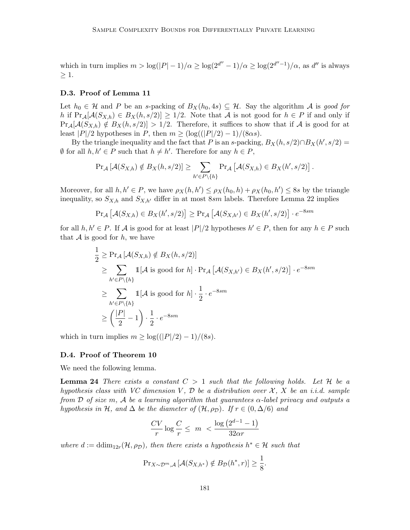which in turn implies  $m > \log(|P|-1)/\alpha \geq \log(2^{d''}-1)/\alpha \geq \log(2^{d''}-1)/\alpha$ , as d'' is always  $\geq 1$ .

#### D.3. Proof of Lemma [11](#page-15-1)

Let  $h_0 \in \mathcal{H}$  and P be an s-packing of  $B_X(h_0, 4s) \subseteq \mathcal{H}$ . Say the algorithm A is good for h if  $Pr_A[\mathcal{A}(S_{X,h}) \in B_X(h, s/2)] \geq 1/2$ . Note that A is not good for  $h \in P$  if and only if  $Pr_A[\mathcal{A}(S_{X,h}) \notin B_X(h, s/2)] > 1/2$ . Therefore, it suffices to show that if A is good for at least  $|P|/2$  hypotheses in P, then  $m \geq (\log((|P|/2) - 1)/(8\alpha s)).$ 

By the triangle inequality and the fact that P is an s-packing,  $B_X(h, s/2) \cap B_X(h', s/2) =$  $\emptyset$  for all  $h, h' \in P$  such that  $h \neq h'$ . Therefore for any  $h \in P$ ,

$$
\Pr_{\mathcal{A}}\left[\mathcal{A}(S_{X,h}) \notin B_X(h,s/2)\right] \geq \sum_{h' \in P \setminus \{h\}} \Pr_{\mathcal{A}}\left[\mathcal{A}(S_{X,h}) \in B_X(h',s/2)\right].
$$

Moreover, for all  $h, h' \in P$ , we have  $\rho_X(h, h') \leq \rho_X(h_0, h) + \rho_X(h_0, h') \leq 8s$  by the triangle inequality, so  $S_{X,h}$  and  $S_{X,h'}$  differ in at most 8sm labels. Therefore Lemma [22](#page-24-0) implies

$$
\Pr_{\mathcal{A}}\left[\mathcal{A}(S_{X,h}) \in B_X(h', s/2)\right] \ge \Pr_{\mathcal{A}}\left[\mathcal{A}(S_{X,h'}) \in B_X(h', s/2)\right] \cdot e^{-8sm}
$$

for all  $h, h' \in P$ . If A is good for at least  $|P|/2$  hypotheses  $h' \in P$ , then for any  $h \in P$  such that  $A$  is good for  $h$ , we have

$$
\frac{1}{2} \geq \Pr_{\mathcal{A}}\left[\mathcal{A}(S_{X,h}) \notin B_X(h, s/2)\right]
$$
\n
$$
\geq \sum_{h' \in P \setminus \{h\}} 1[\mathcal{A} \text{ is good for } h] \cdot \Pr_{\mathcal{A}}\left[\mathcal{A}(S_{X,h'}) \in B_X(h', s/2)\right] \cdot e^{-8sm}
$$
\n
$$
\geq \sum_{h' \in P \setminus \{h\}} 1[\mathcal{A} \text{ is good for } h] \cdot \frac{1}{2} \cdot e^{-8sm}
$$
\n
$$
\geq \left(\frac{|P|}{2} - 1\right) \cdot \frac{1}{2} \cdot e^{-8sm}
$$

which in turn implies  $m \geq \log((|P|/2) - 1)/(8s)$ .

#### D.4. Proof of Theorem [10](#page-15-0)

We need the following lemma.

**Lemma 24** There exists a constant  $C > 1$  such that the following holds. Let H be a hypothesis class with VC dimension V,  $\mathcal D$  be a distribution over X, X be an i.i.d. sample from D of size m, A be a learning algorithm that guarantees  $\alpha$ -label privacy and outputs a hypothesis in H, and  $\Delta$  be the diameter of  $(\mathcal{H}, \rho_D)$ . If  $r \in (0, \Delta/6)$  and

<span id="page-26-0"></span>
$$
\frac{CV}{r}\log\frac{C}{r} \leq m < \frac{\log\left(2^{d-1}-1\right)}{32\alpha r}
$$

where  $d := \dim_{12r}(\mathcal{H}, \rho_{\mathcal{D}})$ , then there exists a hypothesis  $h^* \in \mathcal{H}$  such that

$$
\Pr_{X \sim \mathcal{D}^m, \mathcal{A}} \left[ \mathcal{A}(S_{X,h^*}) \notin B_{\mathcal{D}}(h^*, r) \right] \ge \frac{1}{8}.
$$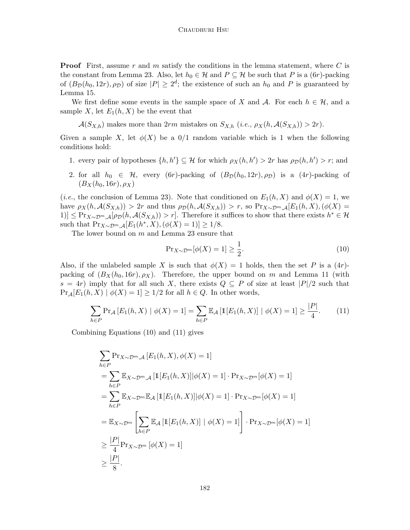**Proof** First, assume r and m satisfy the conditions in the lemma statement, where C is the constant from Lemma [23.](#page-25-0) Also, let  $h_0 \in \mathcal{H}$  and  $P \subseteq \mathcal{H}$  be such that P is a  $(6r)$ -packing of  $(B_{\mathcal{D}}(h_0, 12r), \rho_{\mathcal{D}})$  of size  $|P| \geq 2^d$ ; the existence of such an  $h_0$  and P is guaranteed by Lemma [15.](#page-19-8)

We first define some events in the sample space of X and A. For each  $h \in \mathcal{H}$ , and a sample X, let  $E_1(h, X)$  be the event that

 $\mathcal{A}(S_{X,h})$  makes more than  $2rm$  mistakes on  $S_{X,h}$  (i.e.,  $\rho_X(h, \mathcal{A}(S_{X,h})) > 2r$ ).

Given a sample X, let  $\phi(X)$  be a 0/1 random variable which is 1 when the following conditions hold:

- 1. every pair of hypotheses  $\{h, h'\} \subseteq \mathcal{H}$  for which  $\rho_X(h, h') > 2r$  has  $\rho_{\mathcal{D}}(h, h') > r$ ; and
- 2. for all  $h_0 \in \mathcal{H}$ , every (6r)-packing of  $(B_{\mathcal{D}}(h_0, 12r), \rho_{\mathcal{D}})$  is a  $(4r)$ -packing of  $(B_X(h_0, 16r), \rho_X)$

(*i.e.*, the conclusion of Lemma [23\)](#page-25-0). Note that conditioned on  $E_1(h, X)$  and  $\phi(X) = 1$ , we have  $\rho_X(h, \mathcal{A}(S_{X,h})) > 2r$  and thus  $\rho_{\mathcal{D}}(h, \mathcal{A}(S_{X,h})) > r$ , so  $Pr_{X \sim \mathcal{D}^m, \mathcal{A}}[E_1(h, X), (\phi(X))$ 1)]  $\leq \Pr_{X \sim \mathcal{D}^m, \mathcal{A}}[\rho_{\mathcal{D}}(h, \mathcal{A}(S_{X,h})) > r].$  Therefore it suffices to show that there exists  $h^* \in \mathcal{H}$ such that  $Pr_{X \sim \mathcal{D}^m, \mathcal{A}}[E_1(h^*, X), (\phi(X) = 1)] \ge 1/8.$ 

The lower bound on m and Lemma [23](#page-25-0) ensure that

<span id="page-27-0"></span>
$$
\Pr_{X \sim \mathcal{D}^m} [\phi(X) = 1] \ge \frac{1}{2}.\tag{10}
$$

Also, if the unlabeled sample X is such that  $\phi(X) = 1$  holds, then the set P is a  $(4r)$ packing of  $(B_X(h_0, 16r), \rho_X)$ . Therefore, the upper bound on m and Lemma [11](#page-15-1) (with  $s = 4r$ ) imply that for all such X, there exists  $Q \subseteq P$  of size at least  $|P|/2$  such that  $Pr_A[E_1(h, X) | \phi(X) = 1] \geq 1/2$  for all  $h \in Q$ . In other words,

<span id="page-27-1"></span>
$$
\sum_{h \in P} \Pr_{\mathcal{A}} \left[ E_1(h, X) \mid \phi(X) = 1 \right] = \sum_{h \in P} \mathbb{E}_{\mathcal{A}} \left[ \mathbb{1}[E_1(h, X)] \mid \phi(X) = 1 \right] \ge \frac{|P|}{4}.
$$
 (11)

Combining Equations [\(10\)](#page-27-0) and [\(11\)](#page-27-1) gives

$$
\sum_{h \in P} \Pr_{X \sim \mathcal{D}^m, \mathcal{A}} [E_1(h, X), \phi(X) = 1]
$$
\n
$$
= \sum_{h \in P} \mathbb{E}_{X \sim \mathcal{D}^m, \mathcal{A}} [\mathbb{1}[E_1(h, X)] | \phi(X) = 1] \cdot \Pr_{X \sim \mathcal{D}^m} [\phi(X) = 1]
$$
\n
$$
= \sum_{h \in P} \mathbb{E}_{X \sim \mathcal{D}^m} \mathbb{E}_{\mathcal{A}} [\mathbb{1}[E_1(h, X)] | \phi(X) = 1] \cdot \Pr_{X \sim \mathcal{D}^m} [\phi(X) = 1]
$$
\n
$$
= \mathbb{E}_{X \sim \mathcal{D}^m} \left[ \sum_{h \in P} \mathbb{E}_{\mathcal{A}} [\mathbb{1}[E_1(h, X)] | \phi(X) = 1] \right] \cdot \Pr_{X \sim \mathcal{D}^m} [\phi(X) = 1]
$$
\n
$$
\geq \frac{|P|}{4} \Pr_{X \sim \mathcal{D}^m} [\phi(X) = 1]
$$
\n
$$
\geq \frac{|P|}{8}.
$$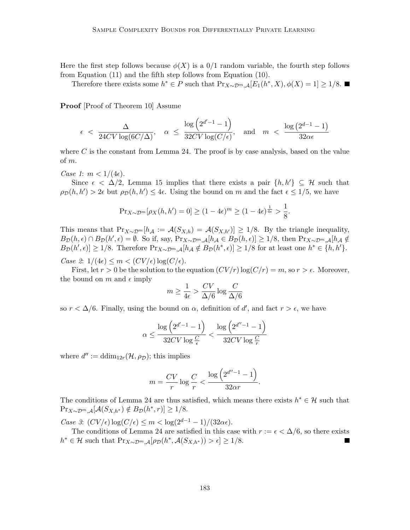Here the first step follows because  $\phi(X)$  is a  $0/1$  random variable, the fourth step follows from Equation [\(11\)](#page-27-1) and the fifth step follows from Equation [\(10\)](#page-27-0).

Therefore there exists some  $h^* \in P$  such that  $Pr_{X \sim \mathcal{D}^m, \mathcal{A}}[E_1(h^*, X), \phi(X) = 1] \ge 1/8$ .

Proof [Proof of Theorem [10\]](#page-15-0) Assume

$$
\epsilon \ < \ \frac{\Delta}{24CV\log(6C/\Delta)}, \quad \alpha \ \leq \ \frac{\log\left(2^{d'-1}-1\right)}{32CV\log(C/\epsilon)}, \quad \text{and} \quad m \ < \ \frac{\log\left(2^{d-1}-1\right)}{32\alpha\epsilon}
$$

where  $C$  is the constant from Lemma [24.](#page-26-0) The proof is by case analysis, based on the value of m.

Case 1:  $m < 1/(4\epsilon)$ .

Since  $\epsilon < \Delta/2$ , Lemma [15](#page-19-8) implies that there exists a pair  $\{h, h'\} \subseteq \mathcal{H}$  such that  $\rho_D(h, h') > 2\epsilon$  but  $\rho_D(h, h') \leq 4\epsilon$ . Using the bound on m and the fact  $\epsilon \leq 1/5$ , we have

$$
\Pr_{X \sim \mathcal{D}^m}[\rho_X(h, h') = 0] \ge (1 - 4\epsilon)^m \ge (1 - 4\epsilon)^{\frac{1}{4\epsilon}} > \frac{1}{8}.
$$

This means that  $Pr_{X\sim \mathcal{D}^m}[h_{\mathcal{A}} := \mathcal{A}(S_{X,h}) = \mathcal{A}(S_{X,h'})] \ge 1/8$ . By the triangle inequality,  $B_{\mathcal{D}}(h,\epsilon) \cap B_{\mathcal{D}}(h',\epsilon) = \emptyset$ . So if, say,  $\Pr_{X \sim \mathcal{D}^m, \mathcal{A}}[h_{\mathcal{A}} \in B_{\mathcal{D}}(h,\epsilon)] \ge 1/8$ , then  $\Pr_{X \sim \mathcal{D}^m, \mathcal{A}}[h_{\mathcal{A}} \notin$  $B_{\mathcal{D}}(h',\epsilon) \geq 1/8$ . Therefore  $Pr_{X \sim \mathcal{D}^m, \mathcal{A}}[h_{\mathcal{A}} \notin B_{\mathcal{D}}(h^*,\epsilon)] \geq 1/8$  for at least one  $h^* \in \{h, h'\}.$ 

Case 2:  $1/(4\epsilon) \leq m < (CV/\epsilon) \log(C/\epsilon)$ .

First, let  $r > 0$  be the solution to the equation  $(CV/r) \log(C/r) = m$ , so  $r > \epsilon$ . Moreover, the bound on m and  $\epsilon$  imply

$$
m \geq \frac{1}{4\epsilon} > \frac{CV}{\Delta/6} \log \frac{C}{\Delta/6}
$$

so  $r < \Delta/6$ . Finally, using the bound on  $\alpha$ , definition of d', and fact  $r > \epsilon$ , we have

$$
\alpha \leq \frac{\log\left(2^{d'-1}-1\right)}{32CV\log\frac{C}{\epsilon}} < \frac{\log\left(2^{d''-1}-1\right)}{32CV\log\frac{C}{r}}
$$

where  $d'':= \text{ddim}_{12r}(\mathcal{H}, \rho_{\mathcal{D}});$  this implies

$$
m = \frac{CV}{r} \log \frac{C}{r} < \frac{\log \left(2^{d''-1} - 1\right)}{32\alpha r}.
$$

The conditions of Lemma [24](#page-26-0) are thus satisfied, which means there exists  $h^* \in \mathcal{H}$  such that  $\Pr_{X \sim \mathcal{D}^m, \mathcal{A}}[\mathcal{A}(S_{X,h^*}) \notin B_{\mathcal{D}}(h^*, r)] \ge 1/8.$ 

Case 3:  $(CV/\epsilon) \log(C/\epsilon) \leq m < \log(2^{d-1} - 1)/(32\alpha\epsilon).$ 

The conditions of Lemma [24](#page-26-0) are satisfied in this case with  $r := \epsilon < \Delta/6$ , so there exists  $h^* \in \mathcal{H}$  such that  $\Pr_{X \sim \mathcal{D}^m, \mathcal{A}}[\rho_{\mathcal{D}}(h^*, \mathcal{A}(S_{X,h^*})) > \epsilon] \geq 1/8.$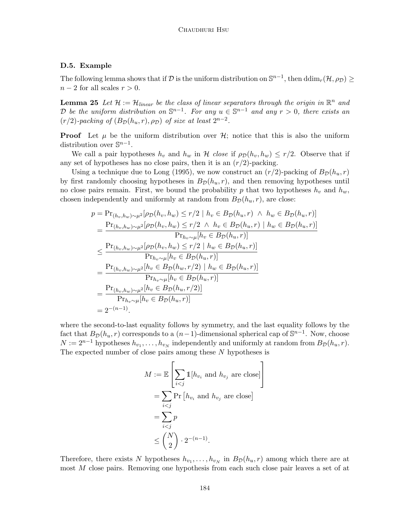#### D.5. Example

The following lemma shows that if  $\mathcal D$  is the uniform distribution on  $\mathbb S^{n-1}$ , then  $\dim_r(\mathcal H, \rho_{\mathcal D}) \geq 0$  $n-2$  for all scales  $r > 0$ .

<span id="page-29-0"></span>**Lemma 25** Let  $\mathcal{H} := \mathcal{H}_{linear}$  be the class of linear separators through the origin in  $\mathbb{R}^n$  and D be the uniform distribution on  $\mathbb{S}^{n-1}$ . For any  $u \in \mathbb{S}^{n-1}$  and any  $r > 0$ , there exists an  $(r/2)$ -packing of  $(B_{\mathcal{D}}(h_u, r), \rho_{\mathcal{D}})$  of size at least  $2^{n-2}$ .

**Proof** Let  $\mu$  be the uniform distribution over  $\mathcal{H}$ ; notice that this is also the uniform distribution over  $\mathbb{S}^{n-1}$ .

We call a pair hypotheses  $h_v$  and  $h_w$  in H close if  $\rho_D(h_v, h_w) \leq r/2$ . Observe that if any set of hypotheses has no close pairs, then it is an  $(r/2)$ -packing.

Using a technique due to [Long](#page-18-12) [\(1995\)](#page-18-12), we now construct an  $(r/2)$ -packing of  $B_{\mathcal{D}}(h_u, r)$ by first randomly choosing hypotheses in  $B_{\mathcal{D}}(h_u, r)$ , and then removing hypotheses until no close pairs remain. First, we bound the probability p that two hypotheses  $h_v$  and  $h_w$ , chosen independently and uniformly at random from  $B_{\mathcal{D}}(h_u, r)$ , are close:

$$
p = \Pr_{(h_v, h_w) \sim \mu^2}[\rho_D(h_v, h_w) \le r/2 \mid h_v \in B_D(h_u, r) \land h_w \in B_D(h_u, r)]
$$
  
\n
$$
= \frac{\Pr_{(h_v, h_w) \sim \mu^2}[\rho_D(h_v, h_w) \le r/2 \land h_v \in B_D(h_u, r) \mid h_w \in B_D(h_u, r)]}{\Pr_{h_v \sim \mu}[h_v \in B_D(h_u, r)]}
$$
  
\n
$$
\le \frac{\Pr_{(h_v, h_w) \sim \mu^2}[\rho_D(h_v, h_w) \le r/2 \mid h_w \in B_D(h_u, r)]}{\Pr_{h_v \sim \mu}[h_v \in B_D(h_u, r)]}
$$
  
\n
$$
= \frac{\Pr_{(h_v, h_w) \sim \mu^2}[h_v \in B_D(h_w, r/2) \mid h_w \in B_D(h_u, r)]}{\Pr_{h_v \sim \mu}[h_v \in B_D(h_u, r)]}
$$
  
\n
$$
= \frac{\Pr_{(h_v, h_w) \sim \mu^2}[h_v \in B_D(h_u, r/2)]}{\Pr_{h_v \sim \mu}[h_v \in B_D(h_u, r)]}
$$
  
\n
$$
= 2^{-(n-1)}.
$$

where the second-to-last equality follows by symmetry, and the last equality follows by the fact that  $B_{\mathcal{D}}(h_u, r)$  corresponds to a  $(n-1)$ -dimensional spherical cap of  $\mathbb{S}^{n-1}$ . Now, choose  $N := 2^{n-1}$  hypotheses  $h_{v_1}, \ldots, h_{v_N}$  independently and uniformly at random from  $B_{\mathcal{D}}(h_u, r)$ . The expected number of close pairs among these N hypotheses is

$$
M := \mathbb{E}\left[\sum_{i < j} \mathbb{1}[h_{v_i} \text{ and } h_{v_j} \text{ are close}]\right]
$$
\n
$$
= \sum_{i < j} \Pr\left[h_{v_i} \text{ and } h_{v_j} \text{ are close}\right]
$$
\n
$$
= \sum_{i < j} p
$$
\n
$$
\leq {N \choose 2} \cdot 2^{-(n-1)}.
$$

Therefore, there exists N hypotheses  $h_{v_1}, \ldots, h_{v_N}$  in  $B_{\mathcal{D}}(h_u, r)$  among which there are at most M close pairs. Removing one hypothesis from each such close pair leaves a set of at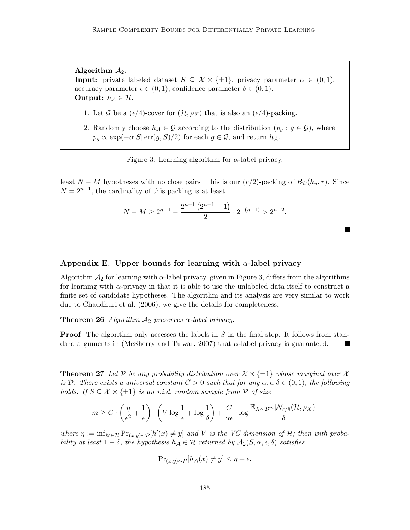Algorithm  $A_2$ . **Input:** private labeled dataset  $S \subseteq \mathcal{X} \times \{\pm 1\}$ , privacy parameter  $\alpha \in (0, 1)$ , accuracy parameter  $\epsilon \in (0,1)$ , confidence parameter  $\delta \in (0,1)$ . Output:  $h_{\mathcal{A}} \in \mathcal{H}$ .

- 1. Let G be a  $(\epsilon/4)$ -cover for  $(\mathcal{H}, \rho_X)$  that is also an  $(\epsilon/4)$ -packing.
- 2. Randomly choose  $h_{\mathcal{A}} \in \mathcal{G}$  according to the distribution  $(p_g : g \in \mathcal{G})$ , where  $p_g \propto \exp(-\alpha |S| \operatorname{err}(g, S)/2)$  for each  $g \in \mathcal{G}$ , and return  $h_{\mathcal{A}}$ .

<span id="page-30-0"></span>Figure 3: Learning algorithm for  $\alpha$ -label privacy.

least  $N - M$  hypotheses with no close pairs—this is our  $(r/2)$ -packing of  $B_{\mathcal{D}}(h_u, r)$ . Since  $N = 2^{n-1}$ , the cardinality of this packing is at least

$$
N-M \ge 2^{n-1} - \frac{2^{n-1} (2^{n-1}-1)}{2} \cdot 2^{-(n-1)} > 2^{n-2}.
$$

Appendix E. Upper bounds for learning with  $\alpha$ -label privacy

Algorithm  $\mathcal{A}_2$  for learning with  $\alpha$ -label privacy, given in Figure [3,](#page-30-0) differs from the algorithms for learning with  $\alpha$ -privacy in that it is able to use the unlabeled data itself to construct a finite set of candidate hypotheses. The algorithm and its analysis are very similar to work due to [Chaudhuri et al.](#page-17-0) [\(2006\)](#page-17-0); we give the details for completeness.

**Theorem 26** Algorithm  $A_2$  preserves  $\alpha$ -label privacy.

**Proof** The algorithm only accesses the labels in  $S$  in the final step. It follows from stan-dard arguments in [\(McSherry and Talwar, 2007\)](#page-18-2) that  $\alpha$ -label privacy is guaranteed.

**Theorem 27** Let P be any probability distribution over  $\mathcal{X} \times \{\pm 1\}$  whose marginal over X is D. There exists a universal constant  $C > 0$  such that for any  $\alpha, \epsilon, \delta \in (0, 1)$ , the following holds. If  $S \subseteq \mathcal{X} \times \{\pm 1\}$  is an i.i.d. random sample from  $\mathcal{P}$  of size

$$
m \geq C \cdot \left(\frac{\eta}{\epsilon^2} + \frac{1}{\epsilon}\right) \cdot \left(V \log \frac{1}{\epsilon} + \log \frac{1}{\delta}\right) + \frac{C}{\alpha \epsilon} \cdot \log \frac{\mathbb{E}_{X \sim \mathcal{D}^m}[\mathcal{N}_{\epsilon/8}(\mathcal{H}, \rho_X)]}{\delta}
$$

where  $\eta := \inf_{h' \in \mathcal{H}} \Pr_{(x,y) \sim \mathcal{P}}[h'(x) \neq y]$  and V is the VC dimension of H; then with probability at least  $1 - \delta$ , the hypothesis  $h_{\mathcal{A}} \in \mathcal{H}$  returned by  $\mathcal{A}_2(S, \alpha, \epsilon, \delta)$  satisfies

$$
\Pr_{(x,y)\sim\mathcal{P}}[h_{\mathcal{A}}(x) \neq y] \leq \eta + \epsilon.
$$